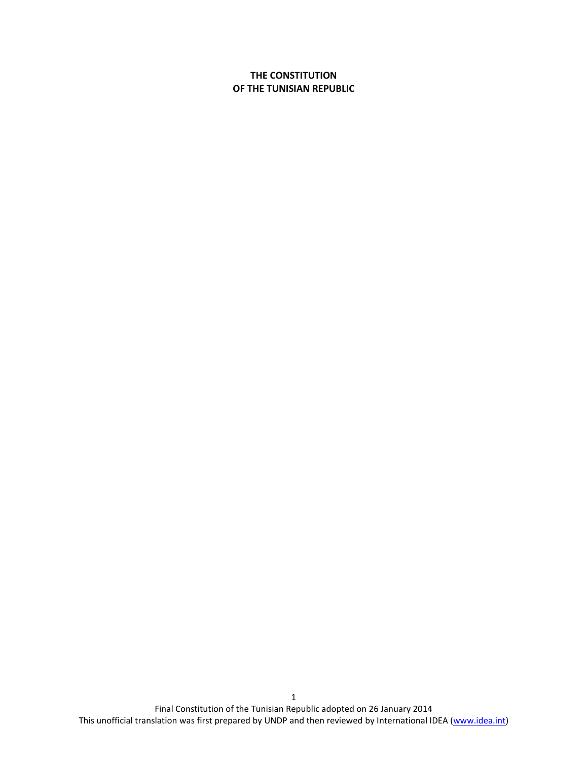# **THE CONSTITUTION OF THE TUNISIAN REPUBLIC**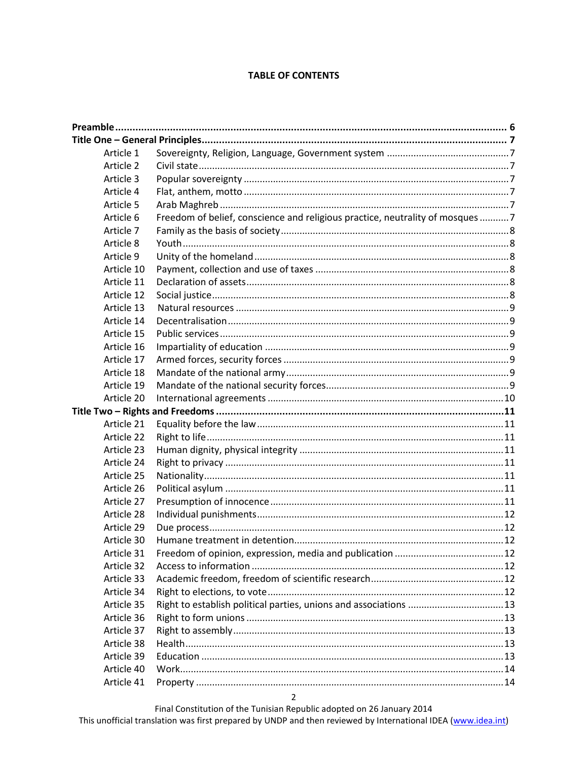## **TABLE OF CONTENTS**

| Article 1  |                                                                               |  |
|------------|-------------------------------------------------------------------------------|--|
| Article 2  |                                                                               |  |
| Article 3  |                                                                               |  |
| Article 4  |                                                                               |  |
| Article 5  |                                                                               |  |
| Article 6  | Freedom of belief, conscience and religious practice, neutrality of mosques 7 |  |
| Article 7  |                                                                               |  |
| Article 8  |                                                                               |  |
| Article 9  |                                                                               |  |
| Article 10 |                                                                               |  |
| Article 11 |                                                                               |  |
| Article 12 |                                                                               |  |
| Article 13 |                                                                               |  |
| Article 14 |                                                                               |  |
| Article 15 |                                                                               |  |
| Article 16 |                                                                               |  |
| Article 17 |                                                                               |  |
| Article 18 |                                                                               |  |
| Article 19 |                                                                               |  |
| Article 20 |                                                                               |  |
|            |                                                                               |  |
| Article 21 |                                                                               |  |
| Article 22 |                                                                               |  |
| Article 23 |                                                                               |  |
| Article 24 |                                                                               |  |
| Article 25 |                                                                               |  |
| Article 26 |                                                                               |  |
| Article 27 |                                                                               |  |
| Article 28 |                                                                               |  |
| Article 29 |                                                                               |  |
| Article 30 |                                                                               |  |
| Article 31 |                                                                               |  |
| Article 32 |                                                                               |  |
| Article 33 |                                                                               |  |
| Article 34 |                                                                               |  |
| Article 35 | Right to establish political parties, unions and associations 13              |  |
| Article 36 |                                                                               |  |
| Article 37 |                                                                               |  |
| Article 38 |                                                                               |  |
| Article 39 |                                                                               |  |
| Article 40 |                                                                               |  |
| Article 41 |                                                                               |  |

Final Constitution of the Tunisian Republic adopted on 26 January 2014<br>This unofficial translation was first prepared by UNDP and then reviewed by International IDEA (www.idea.int)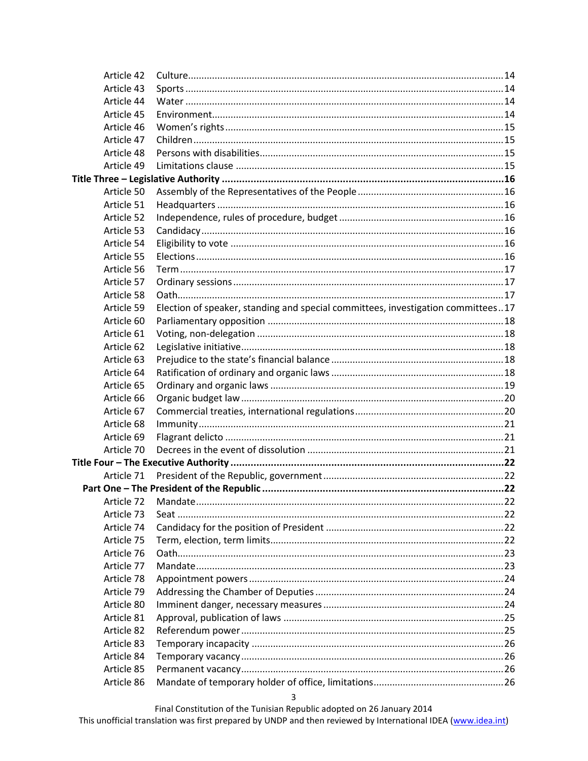| Article 42 |                                                                                  |  |
|------------|----------------------------------------------------------------------------------|--|
| Article 43 |                                                                                  |  |
| Article 44 |                                                                                  |  |
| Article 45 |                                                                                  |  |
| Article 46 |                                                                                  |  |
| Article 47 |                                                                                  |  |
| Article 48 |                                                                                  |  |
| Article 49 |                                                                                  |  |
|            |                                                                                  |  |
| Article 50 |                                                                                  |  |
| Article 51 |                                                                                  |  |
| Article 52 |                                                                                  |  |
| Article 53 |                                                                                  |  |
| Article 54 |                                                                                  |  |
| Article 55 |                                                                                  |  |
| Article 56 |                                                                                  |  |
| Article 57 |                                                                                  |  |
| Article 58 |                                                                                  |  |
| Article 59 | Election of speaker, standing and special committees, investigation committees17 |  |
| Article 60 |                                                                                  |  |
| Article 61 |                                                                                  |  |
| Article 62 |                                                                                  |  |
| Article 63 |                                                                                  |  |
| Article 64 |                                                                                  |  |
| Article 65 |                                                                                  |  |
| Article 66 |                                                                                  |  |
| Article 67 |                                                                                  |  |
| Article 68 |                                                                                  |  |
| Article 69 |                                                                                  |  |
| Article 70 |                                                                                  |  |
|            |                                                                                  |  |
| Article 71 |                                                                                  |  |
|            |                                                                                  |  |
|            |                                                                                  |  |
| Article 73 |                                                                                  |  |
| Article 74 |                                                                                  |  |
| Article 75 |                                                                                  |  |
| Article 76 |                                                                                  |  |
| Article 77 |                                                                                  |  |
| Article 78 |                                                                                  |  |
| Article 79 |                                                                                  |  |
| Article 80 |                                                                                  |  |
| Article 81 |                                                                                  |  |
| Article 82 |                                                                                  |  |
| Article 83 |                                                                                  |  |
| Article 84 |                                                                                  |  |
| Article 85 |                                                                                  |  |
| Article 86 |                                                                                  |  |

Final Constitution of the Tunisian Republic adopted on 26 January 2014<br>This unofficial translation was first prepared by UNDP and then reviewed by International IDEA (www.idea.int)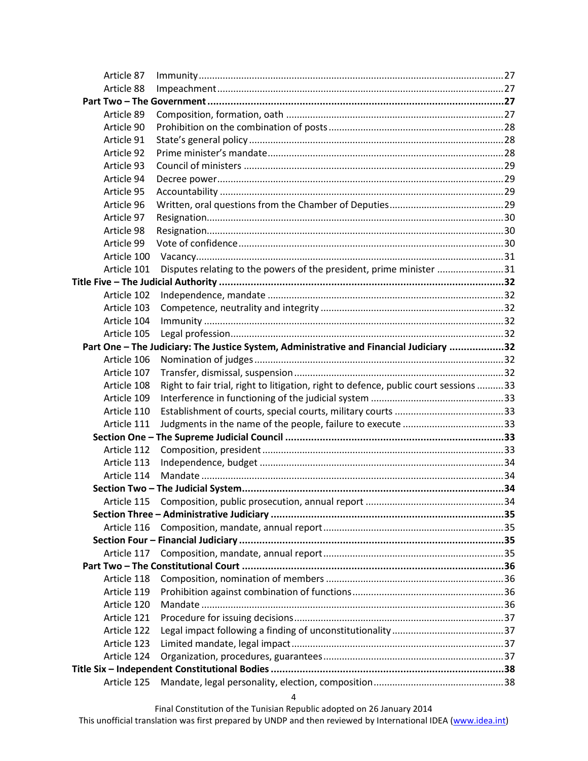| Article 87  |                                                                                         |  |
|-------------|-----------------------------------------------------------------------------------------|--|
| Article 88  |                                                                                         |  |
|             |                                                                                         |  |
| Article 89  |                                                                                         |  |
| Article 90  |                                                                                         |  |
| Article 91  |                                                                                         |  |
| Article 92  |                                                                                         |  |
| Article 93  |                                                                                         |  |
| Article 94  |                                                                                         |  |
| Article 95  |                                                                                         |  |
| Article 96  |                                                                                         |  |
| Article 97  |                                                                                         |  |
| Article 98  |                                                                                         |  |
| Article 99  |                                                                                         |  |
| Article 100 |                                                                                         |  |
| Article 101 | Disputes relating to the powers of the president, prime minister 31                     |  |
|             |                                                                                         |  |
| Article 102 |                                                                                         |  |
| Article 103 |                                                                                         |  |
| Article 104 |                                                                                         |  |
| Article 105 |                                                                                         |  |
|             | Part One - The Judiciary: The Justice System, Administrative and Financial Judiciary 32 |  |
| Article 106 |                                                                                         |  |
| Article 107 |                                                                                         |  |
| Article 108 | Right to fair trial, right to litigation, right to defence, public court sessions  33   |  |
| Article 109 |                                                                                         |  |
| Article 110 |                                                                                         |  |
| Article 111 |                                                                                         |  |
|             |                                                                                         |  |
| Article 112 |                                                                                         |  |
| Article 113 |                                                                                         |  |
| Article 114 |                                                                                         |  |
|             |                                                                                         |  |
|             |                                                                                         |  |
|             |                                                                                         |  |
| Article 116 |                                                                                         |  |
|             |                                                                                         |  |
| Article 117 |                                                                                         |  |
|             |                                                                                         |  |
| Article 118 |                                                                                         |  |
| Article 119 |                                                                                         |  |
| Article 120 |                                                                                         |  |
| Article 121 |                                                                                         |  |
| Article 122 |                                                                                         |  |
| Article 123 |                                                                                         |  |
| Article 124 |                                                                                         |  |
|             |                                                                                         |  |
| Article 125 |                                                                                         |  |

Final Constitution of the Tunisian Republic adopted on 26 January 2014

This unofficial translation was first prepared by UNDP and then reviewed by International IDEA (www.idea.int)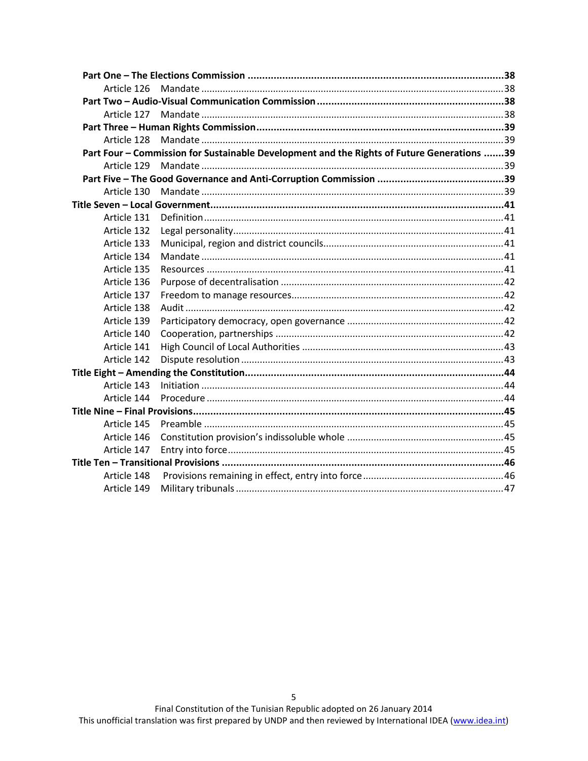| Article 126 |                                                                                            |  |
|-------------|--------------------------------------------------------------------------------------------|--|
|             |                                                                                            |  |
|             |                                                                                            |  |
|             |                                                                                            |  |
| Article 128 |                                                                                            |  |
|             | Part Four - Commission for Sustainable Development and the Rights of Future Generations 39 |  |
| Article 129 |                                                                                            |  |
|             |                                                                                            |  |
| Article 130 |                                                                                            |  |
|             |                                                                                            |  |
| Article 131 |                                                                                            |  |
| Article 132 |                                                                                            |  |
| Article 133 |                                                                                            |  |
| Article 134 |                                                                                            |  |
| Article 135 |                                                                                            |  |
| Article 136 |                                                                                            |  |
| Article 137 |                                                                                            |  |
| Article 138 |                                                                                            |  |
| Article 139 |                                                                                            |  |
| Article 140 |                                                                                            |  |
| Article 141 |                                                                                            |  |
| Article 142 |                                                                                            |  |
|             |                                                                                            |  |
| Article 143 |                                                                                            |  |
| Article 144 |                                                                                            |  |
|             |                                                                                            |  |
| Article 145 |                                                                                            |  |
| Article 146 |                                                                                            |  |
| Article 147 |                                                                                            |  |
|             |                                                                                            |  |
| Article 148 |                                                                                            |  |
| Article 149 |                                                                                            |  |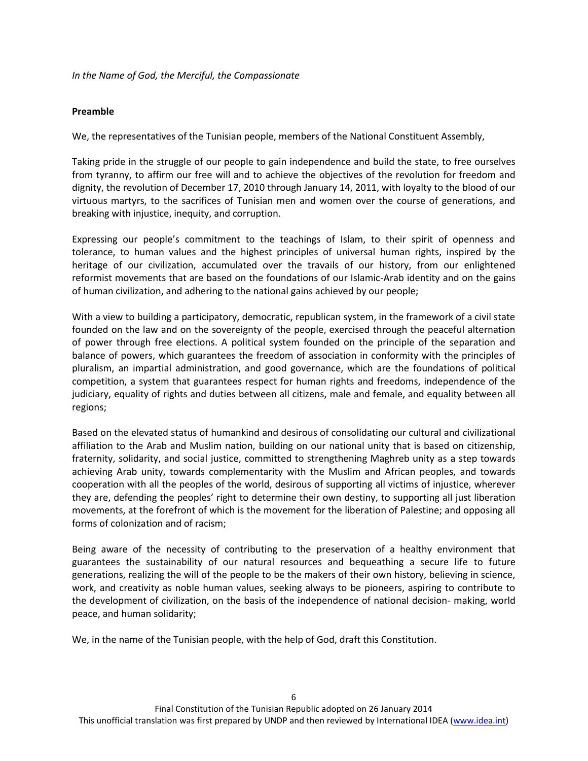# <span id="page-5-0"></span>**Preamble**

We, the representatives of the Tunisian people, members of the National Constituent Assembly,

Taking pride in the struggle of our people to gain independence and build the state, to free ourselves from tyranny, to affirm our free will and to achieve the objectives of the revolution for freedom and dignity, the revolution of December 17, 2010 through January 14, 2011, with loyalty to the blood of our virtuous martyrs, to the sacrifices of Tunisian men and women over the course of generations, and breaking with injustice, inequity, and corruption.

Expressing our people's commitment to the teachings of Islam, to their spirit of openness and tolerance, to human values and the highest principles of universal human rights, inspired by the heritage of our civilization, accumulated over the travails of our history, from our enlightened reformist movements that are based on the foundations of our Islamic-Arab identity and on the gains of human civilization, and adhering to the national gains achieved by our people;

With a view to building a participatory, democratic, republican system, in the framework of a civil state founded on the law and on the sovereignty of the people, exercised through the peaceful alternation of power through free elections. A political system founded on the principle of the separation and balance of powers, which guarantees the freedom of association in conformity with the principles of pluralism, an impartial administration, and good governance, which are the foundations of political competition, a system that guarantees respect for human rights and freedoms, independence of the judiciary, equality of rights and duties between all citizens, male and female, and equality between all regions;

Based on the elevated status of humankind and desirous of consolidating our cultural and civilizational affiliation to the Arab and Muslim nation, building on our national unity that is based on citizenship, fraternity, solidarity, and social justice, committed to strengthening Maghreb unity as a step towards achieving Arab unity, towards complementarity with the Muslim and African peoples, and towards cooperation with all the peoples of the world, desirous of supporting all victims of injustice, wherever they are, defending the peoples' right to determine their own destiny, to supporting all just liberation movements, at the forefront of which is the movement for the liberation of Palestine; and opposing all forms of colonization and of racism;

Being aware of the necessity of contributing to the preservation of a healthy environment that guarantees the sustainability of our natural resources and bequeathing a secure life to future generations, realizing the will of the people to be the makers of their own history, believing in science, work, and creativity as noble human values, seeking always to be pioneers, aspiring to contribute to the development of civilization, on the basis of the independence of national decision- making, world peace, and human solidarity;

We, in the name of the Tunisian people, with the help of God, draft this Constitution.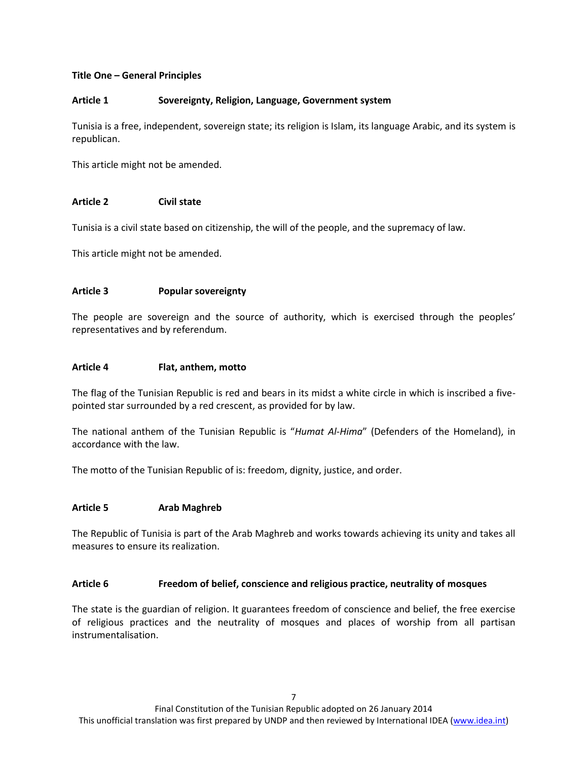## <span id="page-6-0"></span>**Title One – General Principles**

### <span id="page-6-1"></span>**Article 1 Sovereignty, Religion, Language, Government system**

Tunisia is a free, independent, sovereign state; its religion is Islam, its language Arabic, and its system is republican.

This article might not be amended.

### <span id="page-6-2"></span>**Article 2 Civil state**

Tunisia is a civil state based on citizenship, the will of the people, and the supremacy of law.

This article might not be amended.

### <span id="page-6-3"></span>**Article 3 Popular sovereignty**

The people are sovereign and the source of authority, which is exercised through the peoples' representatives and by referendum.

### <span id="page-6-4"></span>**Article 4 Flat, anthem, motto**

The flag of the Tunisian Republic is red and bears in its midst a white circle in which is inscribed a fivepointed star surrounded by a red crescent, as provided for by law.

The national anthem of the Tunisian Republic is "*Humat Al-Hima*" (Defenders of the Homeland), in accordance with the law.

The motto of the Tunisian Republic of is: freedom, dignity, justice, and order.

### <span id="page-6-5"></span>**Article 5 Arab Maghreb**

The Republic of Tunisia is part of the Arab Maghreb and works towards achieving its unity and takes all measures to ensure its realization.

### <span id="page-6-6"></span>**Article 6 Freedom of belief, conscience and religious practice, neutrality of mosques**

The state is the guardian of religion. It guarantees freedom of conscience and belief, the free exercise of religious practices and the neutrality of mosques and places of worship from all partisan instrumentalisation.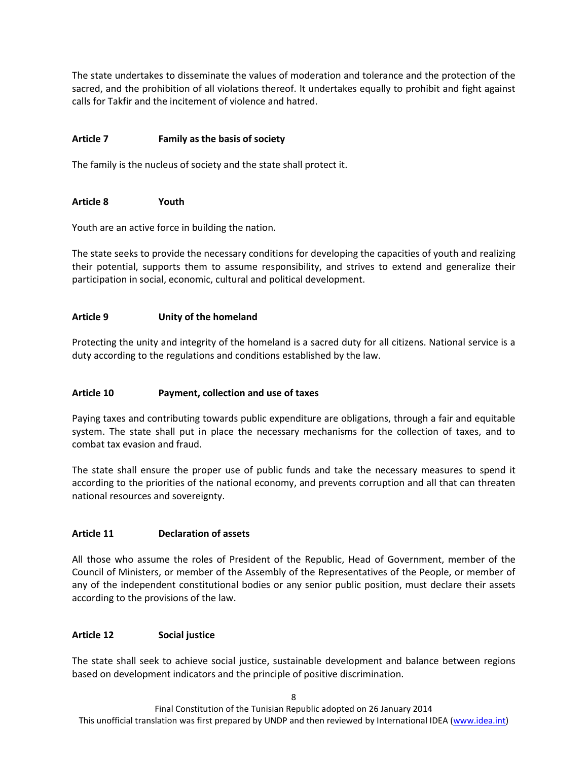The state undertakes to disseminate the values of moderation and tolerance and the protection of the sacred, and the prohibition of all violations thereof. It undertakes equally to prohibit and fight against calls for Takfir and the incitement of violence and hatred.

# <span id="page-7-0"></span>**Article 7 Family as the basis of society**

The family is the nucleus of society and the state shall protect it.

# <span id="page-7-1"></span>**Article 8 Youth**

Youth are an active force in building the nation.

The state seeks to provide the necessary conditions for developing the capacities of youth and realizing their potential, supports them to assume responsibility, and strives to extend and generalize their participation in social, economic, cultural and political development.

# <span id="page-7-2"></span>**Article 9 Unity of the homeland**

Protecting the unity and integrity of the homeland is a sacred duty for all citizens. National service is a duty according to the regulations and conditions established by the law.

## <span id="page-7-3"></span>**Article 10 Payment, collection and use of taxes**

Paying taxes and contributing towards public expenditure are obligations, through a fair and equitable system. The state shall put in place the necessary mechanisms for the collection of taxes, and to combat tax evasion and fraud.

The state shall ensure the proper use of public funds and take the necessary measures to spend it according to the priorities of the national economy, and prevents corruption and all that can threaten national resources and sovereignty.

# <span id="page-7-4"></span>**Article 11 Declaration of assets**

All those who assume the roles of President of the Republic, Head of Government, member of the Council of Ministers, or member of the Assembly of the Representatives of the People, or member of any of the independent constitutional bodies or any senior public position, must declare their assets according to the provisions of the law.

## <span id="page-7-5"></span>**Article 12 Social justice**

The state shall seek to achieve social justice, sustainable development and balance between regions based on development indicators and the principle of positive discrimination.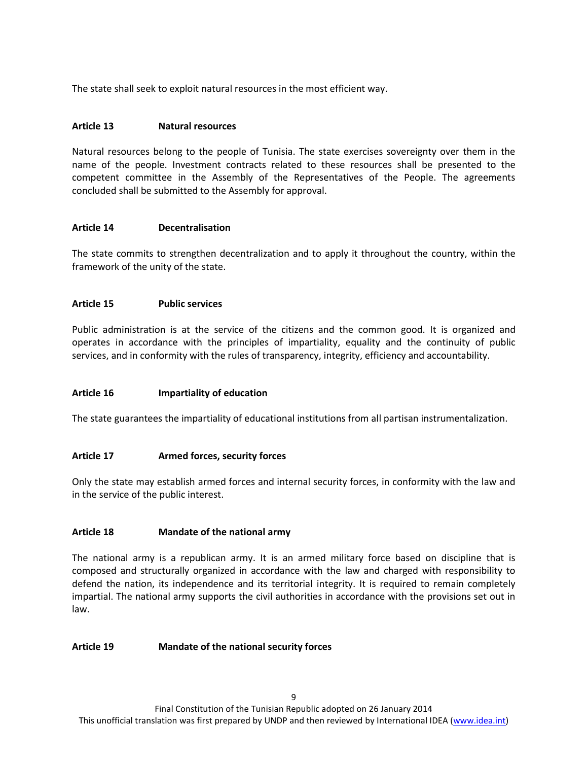The state shall seek to exploit natural resources in the most efficient way.

# <span id="page-8-0"></span>**Article 13 Natural resources**

Natural resources belong to the people of Tunisia. The state exercises sovereignty over them in the name of the people. Investment contracts related to these resources shall be presented to the competent committee in the Assembly of the Representatives of the People. The agreements concluded shall be submitted to the Assembly for approval.

# <span id="page-8-1"></span>**Article 14 Decentralisation**

The state commits to strengthen decentralization and to apply it throughout the country, within the framework of the unity of the state.

# <span id="page-8-2"></span>**Article 15 Public services**

Public administration is at the service of the citizens and the common good. It is organized and operates in accordance with the principles of impartiality, equality and the continuity of public services, and in conformity with the rules of transparency, integrity, efficiency and accountability.

## <span id="page-8-3"></span>**Article 16 Impartiality of education**

The state guarantees the impartiality of educational institutions from all partisan instrumentalization.

## <span id="page-8-4"></span>**Article 17 Armed forces, security forces**

Only the state may establish armed forces and internal security forces, in conformity with the law and in the service of the public interest.

## <span id="page-8-5"></span>**Article 18 Mandate of the national army**

The national army is a republican army. It is an armed military force based on discipline that is composed and structurally organized in accordance with the law and charged with responsibility to defend the nation, its independence and its territorial integrity. It is required to remain completely impartial. The national army supports the civil authorities in accordance with the provisions set out in law.

## <span id="page-8-6"></span>**Article 19 Mandate of the national security forces**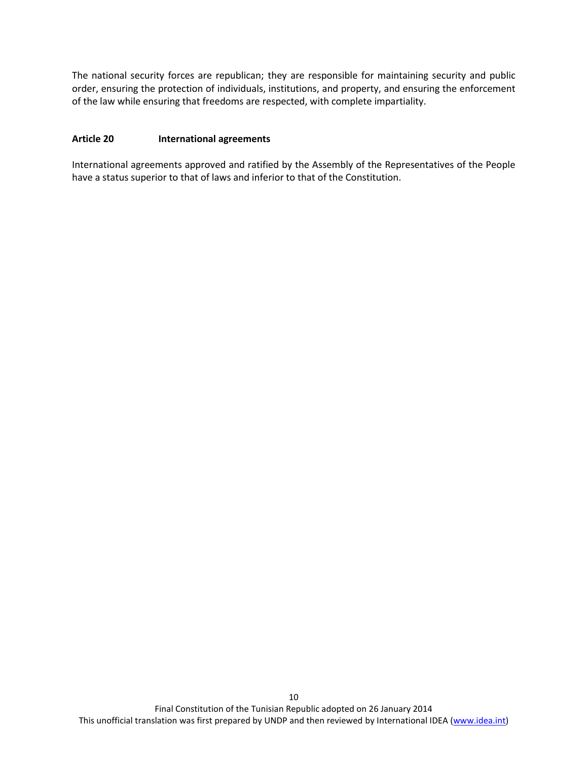The national security forces are republican; they are responsible for maintaining security and public order, ensuring the protection of individuals, institutions, and property, and ensuring the enforcement of the law while ensuring that freedoms are respected, with complete impartiality.

# <span id="page-9-0"></span>**Article 20 International agreements**

International agreements approved and ratified by the Assembly of the Representatives of the People have a status superior to that of laws and inferior to that of the Constitution.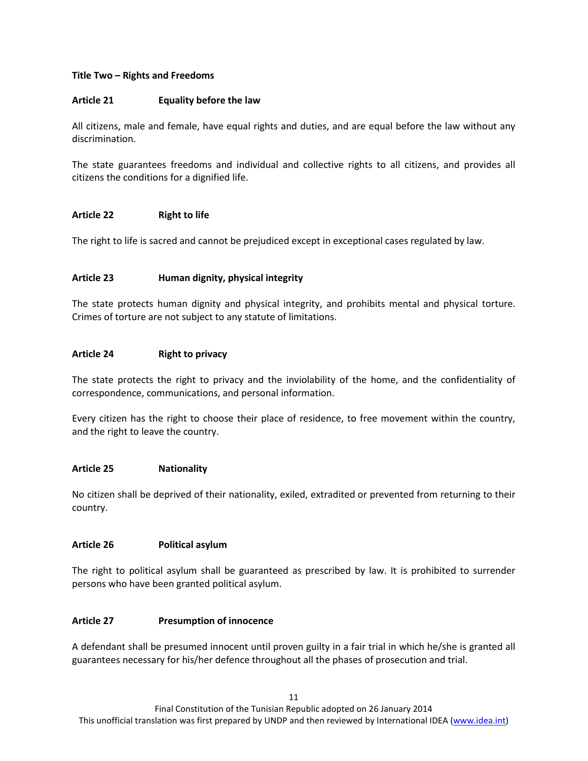## <span id="page-10-0"></span>**Title Two – Rights and Freedoms**

### <span id="page-10-1"></span>**Article 21 Equality before the law**

All citizens, male and female, have equal rights and duties, and are equal before the law without any discrimination.

The state guarantees freedoms and individual and collective rights to all citizens, and provides all citizens the conditions for a dignified life.

## <span id="page-10-2"></span>**Article 22 Right to life**

The right to life is sacred and cannot be prejudiced except in exceptional cases regulated by law.

### <span id="page-10-3"></span>**Article 23 Human dignity, physical integrity**

The state protects human dignity and physical integrity, and prohibits mental and physical torture. Crimes of torture are not subject to any statute of limitations.

### <span id="page-10-4"></span>**Article 24 Right to privacy**

The state protects the right to privacy and the inviolability of the home, and the confidentiality of correspondence, communications, and personal information.

Every citizen has the right to choose their place of residence, to free movement within the country, and the right to leave the country.

### <span id="page-10-5"></span>**Article 25 Nationality**

No citizen shall be deprived of their nationality, exiled, extradited or prevented from returning to their country.

### <span id="page-10-6"></span>**Article 26 Political asylum**

The right to political asylum shall be guaranteed as prescribed by law. It is prohibited to surrender persons who have been granted political asylum.

### <span id="page-10-7"></span>**Article 27 Presumption of innocence**

A defendant shall be presumed innocent until proven guilty in a fair trial in which he/she is granted all guarantees necessary for his/her defence throughout all the phases of prosecution and trial.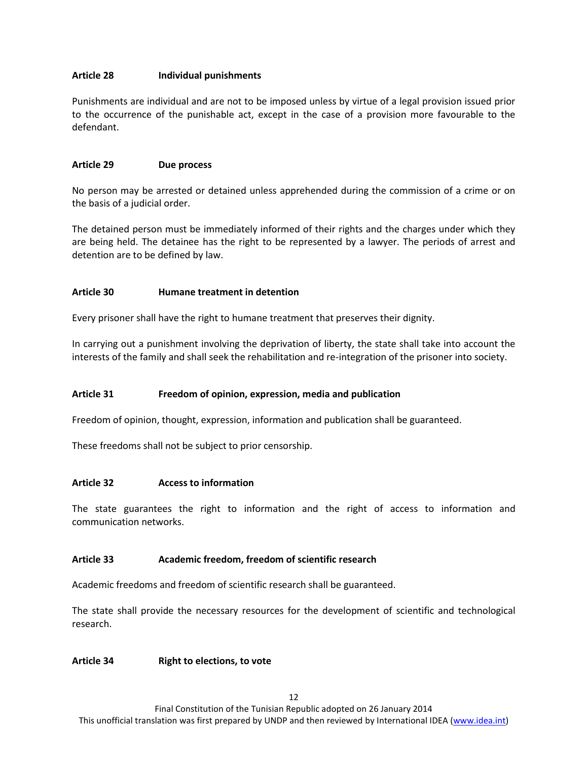## <span id="page-11-0"></span>**Article 28 Individual punishments**

Punishments are individual and are not to be imposed unless by virtue of a legal provision issued prior to the occurrence of the punishable act, except in the case of a provision more favourable to the defendant.

### <span id="page-11-1"></span>**Article 29 Due process**

No person may be arrested or detained unless apprehended during the commission of a crime or on the basis of a judicial order.

The detained person must be immediately informed of their rights and the charges under which they are being held. The detainee has the right to be represented by a lawyer. The periods of arrest and detention are to be defined by law.

### <span id="page-11-2"></span>**Article 30 Humane treatment in detention**

Every prisoner shall have the right to humane treatment that preserves their dignity.

In carrying out a punishment involving the deprivation of liberty, the state shall take into account the interests of the family and shall seek the rehabilitation and re-integration of the prisoner into society.

## <span id="page-11-3"></span>**Article 31 Freedom of opinion, expression, media and publication**

Freedom of opinion, thought, expression, information and publication shall be guaranteed.

These freedoms shall not be subject to prior censorship.

### <span id="page-11-4"></span>**Article 32 Access to information**

The state guarantees the right to information and the right of access to information and communication networks.

## <span id="page-11-5"></span>**Article 33 Academic freedom, freedom of scientific research**

Academic freedoms and freedom of scientific research shall be guaranteed.

The state shall provide the necessary resources for the development of scientific and technological research.

### <span id="page-11-6"></span>**Article 34 Right to elections, to vote**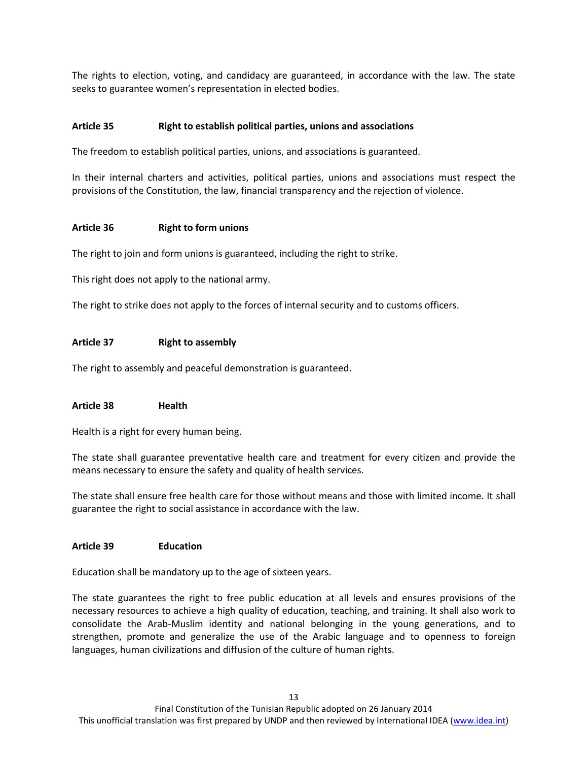The rights to election, voting, and candidacy are guaranteed, in accordance with the law. The state seeks to guarantee women's representation in elected bodies.

# <span id="page-12-0"></span>**Article 35 Right to establish political parties, unions and associations**

The freedom to establish political parties, unions, and associations is guaranteed.

In their internal charters and activities, political parties, unions and associations must respect the provisions of the Constitution, the law, financial transparency and the rejection of violence.

## <span id="page-12-1"></span>**Article 36 Right to form unions**

The right to join and form unions is guaranteed, including the right to strike.

This right does not apply to the national army.

The right to strike does not apply to the forces of internal security and to customs officers.

## <span id="page-12-2"></span>**Article 37 Right to assembly**

The right to assembly and peaceful demonstration is guaranteed.

## <span id="page-12-3"></span>**Article 38 Health**

Health is a right for every human being.

The state shall guarantee preventative health care and treatment for every citizen and provide the means necessary to ensure the safety and quality of health services.

The state shall ensure free health care for those without means and those with limited income. It shall guarantee the right to social assistance in accordance with the law.

## <span id="page-12-4"></span>**Article 39 Education**

Education shall be mandatory up to the age of sixteen years.

The state guarantees the right to free public education at all levels and ensures provisions of the necessary resources to achieve a high quality of education, teaching, and training. It shall also work to consolidate the Arab-Muslim identity and national belonging in the young generations, and to strengthen, promote and generalize the use of the Arabic language and to openness to foreign languages, human civilizations and diffusion of the culture of human rights.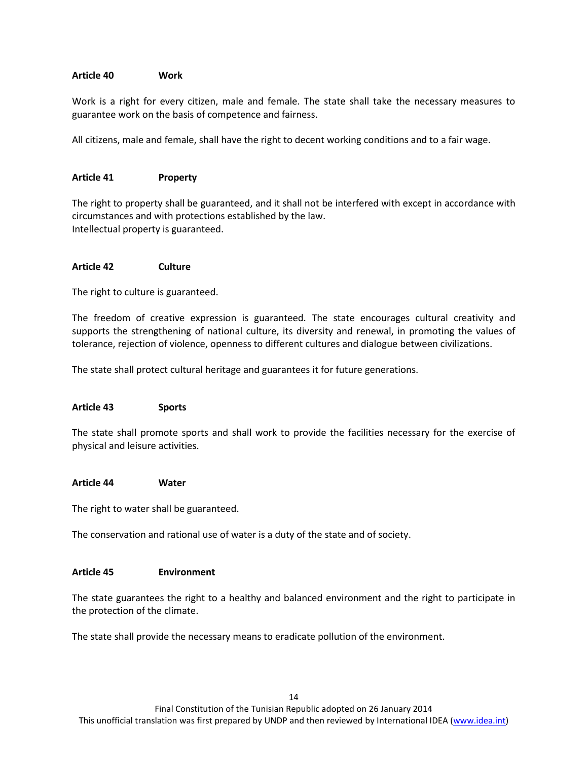### <span id="page-13-0"></span>**Article 40 Work**

Work is a right for every citizen, male and female. The state shall take the necessary measures to guarantee work on the basis of competence and fairness.

All citizens, male and female, shall have the right to decent working conditions and to a fair wage.

## <span id="page-13-1"></span>**Article 41 Property**

The right to property shall be guaranteed, and it shall not be interfered with except in accordance with circumstances and with protections established by the law. Intellectual property is guaranteed.

## <span id="page-13-2"></span>**Article 42 Culture**

The right to culture is guaranteed.

The freedom of creative expression is guaranteed. The state encourages cultural creativity and supports the strengthening of national culture, its diversity and renewal, in promoting the values of tolerance, rejection of violence, openness to different cultures and dialogue between civilizations.

The state shall protect cultural heritage and guarantees it for future generations.

# <span id="page-13-3"></span>**Article 43 Sports**

The state shall promote sports and shall work to provide the facilities necessary for the exercise of physical and leisure activities.

### <span id="page-13-4"></span>**Article 44 Water**

The right to water shall be guaranteed.

The conservation and rational use of water is a duty of the state and of society.

### <span id="page-13-5"></span>**Article 45 Environment**

The state guarantees the right to a healthy and balanced environment and the right to participate in the protection of the climate.

The state shall provide the necessary means to eradicate pollution of the environment.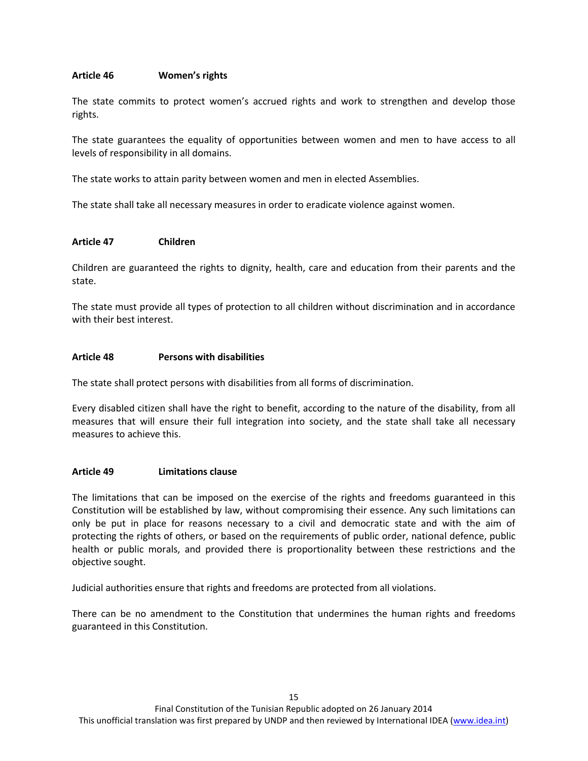## <span id="page-14-0"></span>**Article 46 Women's rights**

The state commits to protect women's accrued rights and work to strengthen and develop those rights.

The state guarantees the equality of opportunities between women and men to have access to all levels of responsibility in all domains.

The state works to attain parity between women and men in elected Assemblies.

The state shall take all necessary measures in order to eradicate violence against women.

# <span id="page-14-1"></span>**Article 47 Children**

Children are guaranteed the rights to dignity, health, care and education from their parents and the state.

The state must provide all types of protection to all children without discrimination and in accordance with their best interest.

# <span id="page-14-2"></span>**Article 48 Persons with disabilities**

The state shall protect persons with disabilities from all forms of discrimination.

Every disabled citizen shall have the right to benefit, according to the nature of the disability, from all measures that will ensure their full integration into society, and the state shall take all necessary measures to achieve this.

## <span id="page-14-3"></span>**Article 49 Limitations clause**

The limitations that can be imposed on the exercise of the rights and freedoms guaranteed in this Constitution will be established by law, without compromising their essence. Any such limitations can only be put in place for reasons necessary to a civil and democratic state and with the aim of protecting the rights of others, or based on the requirements of public order, national defence, public health or public morals, and provided there is proportionality between these restrictions and the objective sought.

Judicial authorities ensure that rights and freedoms are protected from all violations.

There can be no amendment to the Constitution that undermines the human rights and freedoms guaranteed in this Constitution.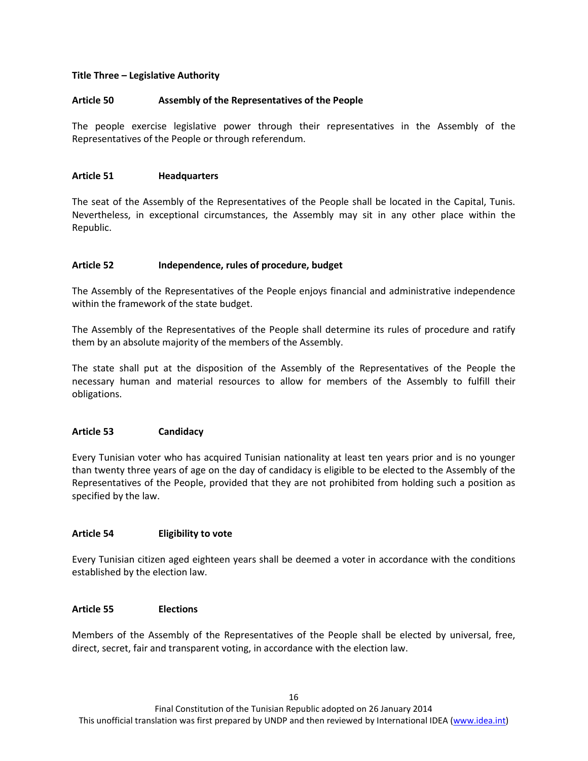## <span id="page-15-0"></span>**Title Three – Legislative Authority**

# <span id="page-15-1"></span>**Article 50 Assembly of the Representatives of the People**

The people exercise legislative power through their representatives in the Assembly of the Representatives of the People or through referendum.

# <span id="page-15-2"></span>**Article 51 Headquarters**

The seat of the Assembly of the Representatives of the People shall be located in the Capital, Tunis. Nevertheless, in exceptional circumstances, the Assembly may sit in any other place within the Republic.

# <span id="page-15-3"></span>**Article 52 Independence, rules of procedure, budget**

The Assembly of the Representatives of the People enjoys financial and administrative independence within the framework of the state budget.

The Assembly of the Representatives of the People shall determine its rules of procedure and ratify them by an absolute majority of the members of the Assembly.

The state shall put at the disposition of the Assembly of the Representatives of the People the necessary human and material resources to allow for members of the Assembly to fulfill their obligations.

## <span id="page-15-4"></span>**Article 53 Candidacy**

Every Tunisian voter who has acquired Tunisian nationality at least ten years prior and is no younger than twenty three years of age on the day of candidacy is eligible to be elected to the Assembly of the Representatives of the People, provided that they are not prohibited from holding such a position as specified by the law.

# <span id="page-15-5"></span>**Article 54 Eligibility to vote**

Every Tunisian citizen aged eighteen years shall be deemed a voter in accordance with the conditions established by the election law.

## <span id="page-15-6"></span>**Article 55 Elections**

Members of the Assembly of the Representatives of the People shall be elected by universal, free, direct, secret, fair and transparent voting, in accordance with the election law.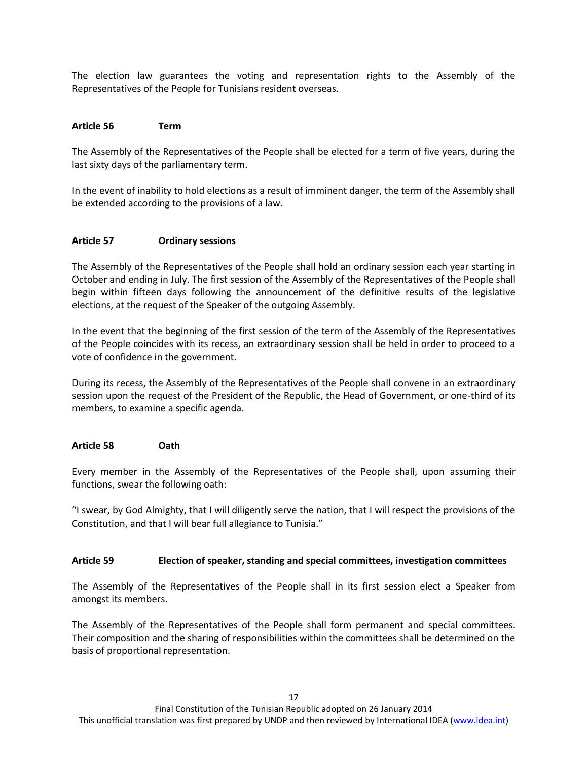The election law guarantees the voting and representation rights to the Assembly of the Representatives of the People for Tunisians resident overseas.

### <span id="page-16-0"></span>**Article 56 Term**

The Assembly of the Representatives of the People shall be elected for a term of five years, during the last sixty days of the parliamentary term.

In the event of inability to hold elections as a result of imminent danger, the term of the Assembly shall be extended according to the provisions of a law.

### <span id="page-16-1"></span>**Article 57 Ordinary sessions**

The Assembly of the Representatives of the People shall hold an ordinary session each year starting in October and ending in July. The first session of the Assembly of the Representatives of the People shall begin within fifteen days following the announcement of the definitive results of the legislative elections, at the request of the Speaker of the outgoing Assembly.

In the event that the beginning of the first session of the term of the Assembly of the Representatives of the People coincides with its recess, an extraordinary session shall be held in order to proceed to a vote of confidence in the government.

During its recess, the Assembly of the Representatives of the People shall convene in an extraordinary session upon the request of the President of the Republic, the Head of Government, or one-third of its members, to examine a specific agenda.

### <span id="page-16-2"></span>**Article 58 Oath**

Every member in the Assembly of the Representatives of the People shall, upon assuming their functions, swear the following oath:

"I swear, by God Almighty, that I will diligently serve the nation, that I will respect the provisions of the Constitution, and that I will bear full allegiance to Tunisia."

## <span id="page-16-3"></span>**Article 59 Election of speaker, standing and special committees, investigation committees**

The Assembly of the Representatives of the People shall in its first session elect a Speaker from amongst its members.

The Assembly of the Representatives of the People shall form permanent and special committees. Their composition and the sharing of responsibilities within the committees shall be determined on the basis of proportional representation.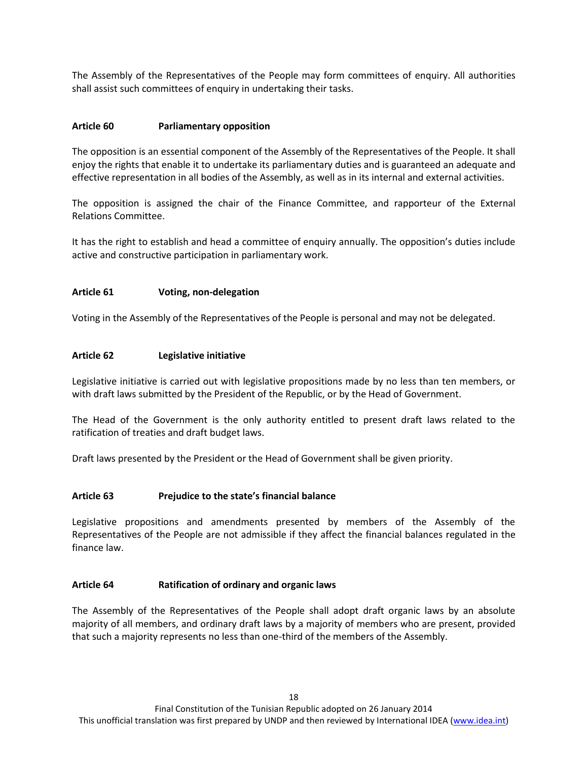The Assembly of the Representatives of the People may form committees of enquiry. All authorities shall assist such committees of enquiry in undertaking their tasks.

# <span id="page-17-0"></span>**Article 60 Parliamentary opposition**

The opposition is an essential component of the Assembly of the Representatives of the People. It shall enjoy the rights that enable it to undertake its parliamentary duties and is guaranteed an adequate and effective representation in all bodies of the Assembly, as well as in its internal and external activities.

The opposition is assigned the chair of the Finance Committee, and rapporteur of the External Relations Committee.

It has the right to establish and head a committee of enquiry annually. The opposition's duties include active and constructive participation in parliamentary work.

## <span id="page-17-1"></span>**Article 61 Voting, non-delegation**

Voting in the Assembly of the Representatives of the People is personal and may not be delegated.

## <span id="page-17-2"></span>**Article 62 Legislative initiative**

Legislative initiative is carried out with legislative propositions made by no less than ten members, or with draft laws submitted by the President of the Republic, or by the Head of Government.

The Head of the Government is the only authority entitled to present draft laws related to the ratification of treaties and draft budget laws.

Draft laws presented by the President or the Head of Government shall be given priority.

## <span id="page-17-3"></span>**Article 63 Prejudice to the state's financial balance**

Legislative propositions and amendments presented by members of the Assembly of the Representatives of the People are not admissible if they affect the financial balances regulated in the finance law.

## <span id="page-17-4"></span>**Article 64 Ratification of ordinary and organic laws**

The Assembly of the Representatives of the People shall adopt draft organic laws by an absolute majority of all members, and ordinary draft laws by a majority of members who are present, provided that such a majority represents no less than one-third of the members of the Assembly.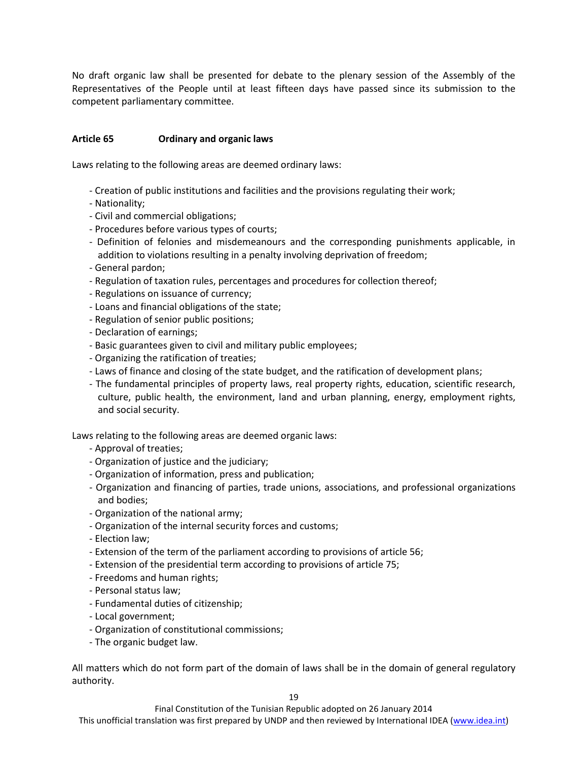No draft organic law shall be presented for debate to the plenary session of the Assembly of the Representatives of the People until at least fifteen days have passed since its submission to the competent parliamentary committee.

## <span id="page-18-0"></span>**Article 65 Ordinary and organic laws**

Laws relating to the following areas are deemed ordinary laws:

- Creation of public institutions and facilities and the provisions regulating their work;
- Nationality;
- Civil and commercial obligations;
- Procedures before various types of courts;
- Definition of felonies and misdemeanours and the corresponding punishments applicable, in addition to violations resulting in a penalty involving deprivation of freedom;
- General pardon;
- Regulation of taxation rules, percentages and procedures for collection thereof;
- Regulations on issuance of currency;
- Loans and financial obligations of the state;
- Regulation of senior public positions;
- Declaration of earnings;
- Basic guarantees given to civil and military public employees;
- Organizing the ratification of treaties;
- Laws of finance and closing of the state budget, and the ratification of development plans;
- The fundamental principles of property laws, real property rights, education, scientific research, culture, public health, the environment, land and urban planning, energy, employment rights, and social security.

Laws relating to the following areas are deemed organic laws:

- Approval of treaties;
- Organization of justice and the judiciary;
- Organization of information, press and publication;
- Organization and financing of parties, trade unions, associations, and professional organizations and bodies;
- Organization of the national army;
- Organization of the internal security forces and customs;
- Election law;
- Extension of the term of the parliament according to provisions of article 56;
- Extension of the presidential term according to provisions of article 75;
- Freedoms and human rights;
- Personal status law;
- Fundamental duties of citizenship;
- Local government;
- Organization of constitutional commissions;
- The organic budget law.

All matters which do not form part of the domain of laws shall be in the domain of general regulatory authority.

Final Constitution of the Tunisian Republic adopted on 26 January 2014

This unofficial translation was first prepared by UNDP and then reviewed by International IDEA (www.idea.int)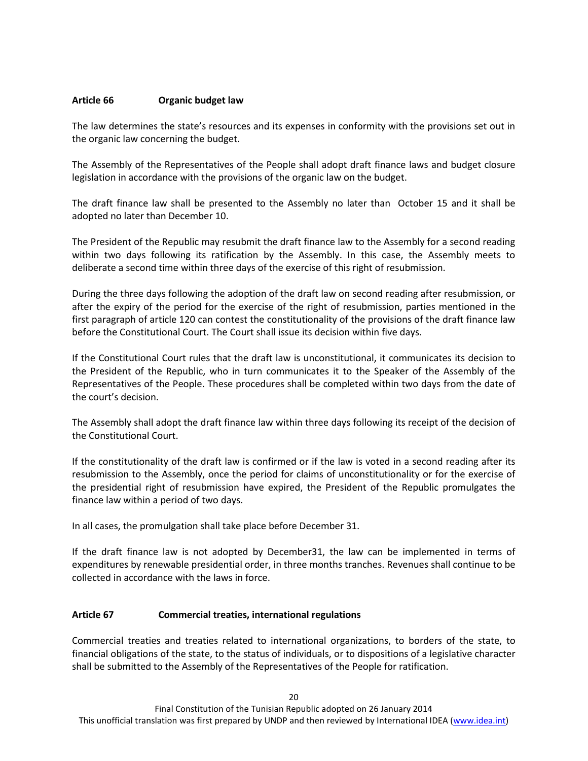## <span id="page-19-0"></span>**Article 66 Organic budget law**

The law determines the state's resources and its expenses in conformity with the provisions set out in the organic law concerning the budget.

The Assembly of the Representatives of the People shall adopt draft finance laws and budget closure legislation in accordance with the provisions of the organic law on the budget.

The draft finance law shall be presented to the Assembly no later than October 15 and it shall be adopted no later than December 10.

The President of the Republic may resubmit the draft finance law to the Assembly for a second reading within two days following its ratification by the Assembly. In this case, the Assembly meets to deliberate a second time within three days of the exercise of this right of resubmission.

During the three days following the adoption of the draft law on second reading after resubmission, or after the expiry of the period for the exercise of the right of resubmission, parties mentioned in the first paragraph of article 120 can contest the constitutionality of the provisions of the draft finance law before the Constitutional Court. The Court shall issue its decision within five days.

If the Constitutional Court rules that the draft law is unconstitutional, it communicates its decision to the President of the Republic, who in turn communicates it to the Speaker of the Assembly of the Representatives of the People. These procedures shall be completed within two days from the date of the court's decision.

The Assembly shall adopt the draft finance law within three days following its receipt of the decision of the Constitutional Court.

If the constitutionality of the draft law is confirmed or if the law is voted in a second reading after its resubmission to the Assembly, once the period for claims of unconstitutionality or for the exercise of the presidential right of resubmission have expired, the President of the Republic promulgates the finance law within a period of two days.

In all cases, the promulgation shall take place before December 31.

If the draft finance law is not adopted by December31, the law can be implemented in terms of expenditures by renewable presidential order, in three months tranches. Revenues shall continue to be collected in accordance with the laws in force.

## <span id="page-19-1"></span>**Article 67 Commercial treaties, international regulations**

Commercial treaties and treaties related to international organizations, to borders of the state, to financial obligations of the state, to the status of individuals, or to dispositions of a legislative character shall be submitted to the Assembly of the Representatives of the People for ratification.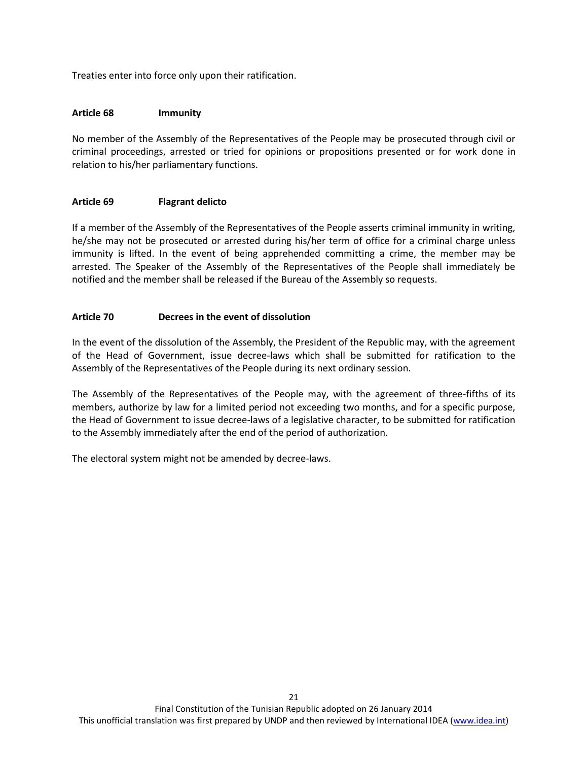Treaties enter into force only upon their ratification.

### <span id="page-20-0"></span>**Article 68 Immunity**

No member of the Assembly of the Representatives of the People may be prosecuted through civil or criminal proceedings, arrested or tried for opinions or propositions presented or for work done in relation to his/her parliamentary functions.

### <span id="page-20-1"></span>**Article 69 Flagrant delicto**

If a member of the Assembly of the Representatives of the People asserts criminal immunity in writing, he/she may not be prosecuted or arrested during his/her term of office for a criminal charge unless immunity is lifted. In the event of being apprehended committing a crime, the member may be arrested. The Speaker of the Assembly of the Representatives of the People shall immediately be notified and the member shall be released if the Bureau of the Assembly so requests.

## <span id="page-20-2"></span>**Article 70 Decrees in the event of dissolution**

In the event of the dissolution of the Assembly, the President of the Republic may, with the agreement of the Head of Government, issue decree-laws which shall be submitted for ratification to the Assembly of the Representatives of the People during its next ordinary session.

The Assembly of the Representatives of the People may, with the agreement of three-fifths of its members, authorize by law for a limited period not exceeding two months, and for a specific purpose, the Head of Government to issue decree-laws of a legislative character, to be submitted for ratification to the Assembly immediately after the end of the period of authorization.

The electoral system might not be amended by decree-laws.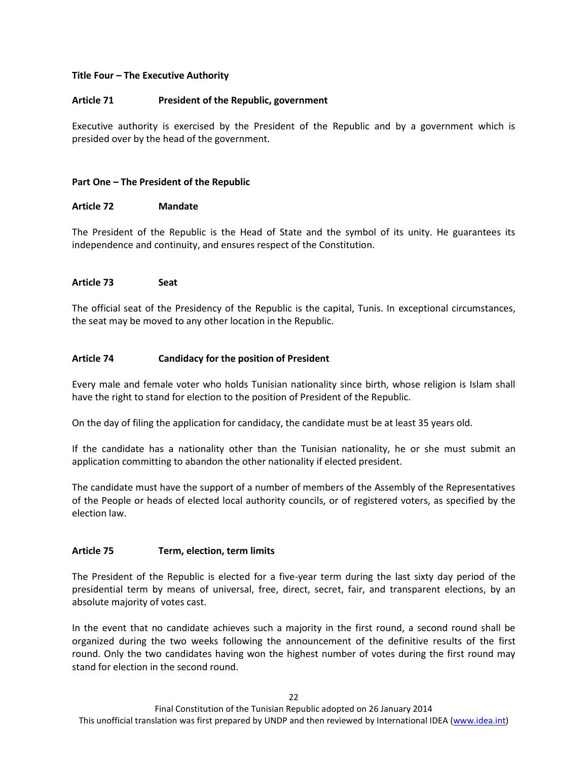## <span id="page-21-0"></span>**Title Four – The Executive Authority**

# <span id="page-21-1"></span>**Article 71 President of the Republic, government**

Executive authority is exercised by the President of the Republic and by a government which is presided over by the head of the government.

# <span id="page-21-2"></span>**Part One – The President of the Republic**

## <span id="page-21-3"></span>**Article 72 Mandate**

The President of the Republic is the Head of State and the symbol of its unity. He guarantees its independence and continuity, and ensures respect of the Constitution.

# <span id="page-21-4"></span>**Article 73 Seat**

The official seat of the Presidency of the Republic is the capital, Tunis. In exceptional circumstances, the seat may be moved to any other location in the Republic.

# <span id="page-21-5"></span>**Article 74 Candidacy for the position of President**

Every male and female voter who holds Tunisian nationality since birth, whose religion is Islam shall have the right to stand for election to the position of President of the Republic.

On the day of filing the application for candidacy, the candidate must be at least 35 years old.

If the candidate has a nationality other than the Tunisian nationality, he or she must submit an application committing to abandon the other nationality if elected president.

The candidate must have the support of a number of members of the Assembly of the Representatives of the People or heads of elected local authority councils, or of registered voters, as specified by the election law.

# <span id="page-21-6"></span>**Article 75 Term, election, term limits**

The President of the Republic is elected for a five-year term during the last sixty day period of the presidential term by means of universal, free, direct, secret, fair, and transparent elections, by an absolute majority of votes cast.

In the event that no candidate achieves such a majority in the first round, a second round shall be organized during the two weeks following the announcement of the definitive results of the first round. Only the two candidates having won the highest number of votes during the first round may stand for election in the second round.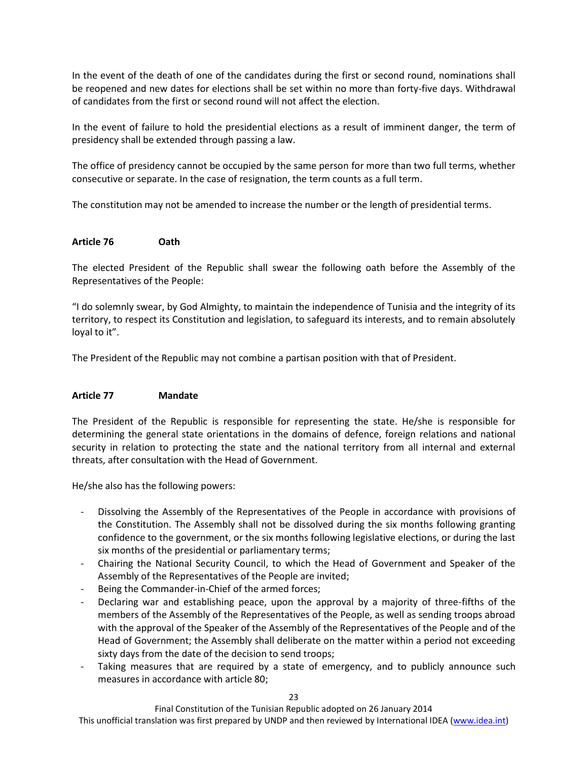In the event of the death of one of the candidates during the first or second round, nominations shall be reopened and new dates for elections shall be set within no more than forty-five days. Withdrawal of candidates from the first or second round will not affect the election.

In the event of failure to hold the presidential elections as a result of imminent danger, the term of presidency shall be extended through passing a law.

The office of presidency cannot be occupied by the same person for more than two full terms, whether consecutive or separate. In the case of resignation, the term counts as a full term.

The constitution may not be amended to increase the number or the length of presidential terms.

## <span id="page-22-0"></span>**Article 76 Oath**

The elected President of the Republic shall swear the following oath before the Assembly of the Representatives of the People:

"I do solemnly swear, by God Almighty, to maintain the independence of Tunisia and the integrity of its territory, to respect its Constitution and legislation, to safeguard its interests, and to remain absolutely loyal to it".

The President of the Republic may not combine a partisan position with that of President.

## <span id="page-22-1"></span>**Article 77 Mandate**

The President of the Republic is responsible for representing the state. He/she is responsible for determining the general state orientations in the domains of defence, foreign relations and national security in relation to protecting the state and the national territory from all internal and external threats, after consultation with the Head of Government.

He/she also has the following powers:

- Dissolving the Assembly of the Representatives of the People in accordance with provisions of the Constitution. The Assembly shall not be dissolved during the six months following granting confidence to the government, or the six months following legislative elections, or during the last six months of the presidential or parliamentary terms;
- Chairing the National Security Council, to which the Head of Government and Speaker of the Assembly of the Representatives of the People are invited;
- Being the Commander-in-Chief of the armed forces;
- Declaring war and establishing peace, upon the approval by a majority of three-fifths of the members of the Assembly of the Representatives of the People, as well as sending troops abroad with the approval of the Speaker of the Assembly of the Representatives of the People and of the Head of Government; the Assembly shall deliberate on the matter within a period not exceeding sixty days from the date of the decision to send troops;
- Taking measures that are required by a state of emergency, and to publicly announce such measures in accordance with article 80;

Final Constitution of the Tunisian Republic adopted on 26 January 2014

This unofficial translation was first prepared by UNDP and then reviewed by International IDEA (www.idea.int)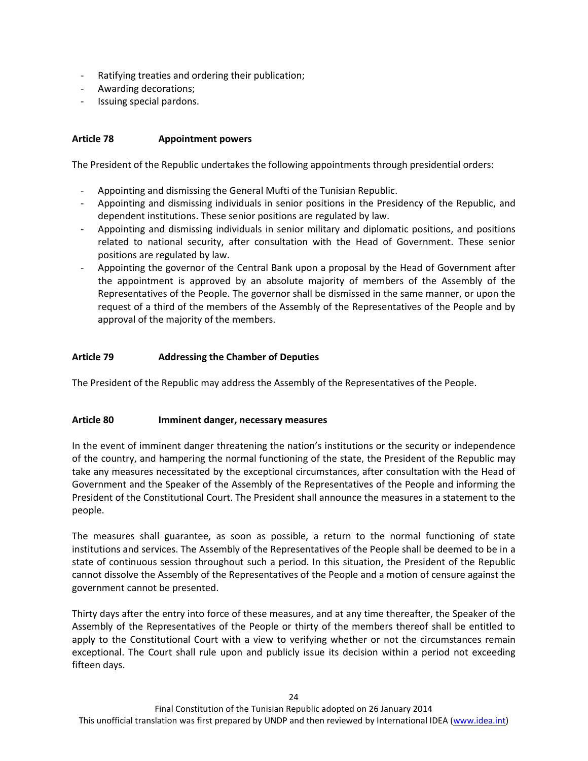- Ratifying treaties and ordering their publication;
- Awarding decorations;
- Issuing special pardons.

# <span id="page-23-0"></span>**Article 78 Appointment powers**

The President of the Republic undertakes the following appointments through presidential orders:

- Appointing and dismissing the General Mufti of the Tunisian Republic.
- Appointing and dismissing individuals in senior positions in the Presidency of the Republic, and dependent institutions. These senior positions are regulated by law.
- Appointing and dismissing individuals in senior military and diplomatic positions, and positions related to national security, after consultation with the Head of Government. These senior positions are regulated by law.
- Appointing the governor of the Central Bank upon a proposal by the Head of Government after the appointment is approved by an absolute majority of members of the Assembly of the Representatives of the People. The governor shall be dismissed in the same manner, or upon the request of a third of the members of the Assembly of the Representatives of the People and by approval of the majority of the members.

# <span id="page-23-1"></span>**Article 79 Addressing the Chamber of Deputies**

The President of the Republic may address the Assembly of the Representatives of the People.

## <span id="page-23-2"></span>**Article 80 Imminent danger, necessary measures**

In the event of imminent danger threatening the nation's institutions or the security or independence of the country, and hampering the normal functioning of the state, the President of the Republic may take any measures necessitated by the exceptional circumstances, after consultation with the Head of Government and the Speaker of the Assembly of the Representatives of the People and informing the President of the Constitutional Court. The President shall announce the measures in a statement to the people.

The measures shall guarantee, as soon as possible, a return to the normal functioning of state institutions and services. The Assembly of the Representatives of the People shall be deemed to be in a state of continuous session throughout such a period. In this situation, the President of the Republic cannot dissolve the Assembly of the Representatives of the People and a motion of censure against the government cannot be presented.

Thirty days after the entry into force of these measures, and at any time thereafter, the Speaker of the Assembly of the Representatives of the People or thirty of the members thereof shall be entitled to apply to the Constitutional Court with a view to verifying whether or not the circumstances remain exceptional. The Court shall rule upon and publicly issue its decision within a period not exceeding fifteen days.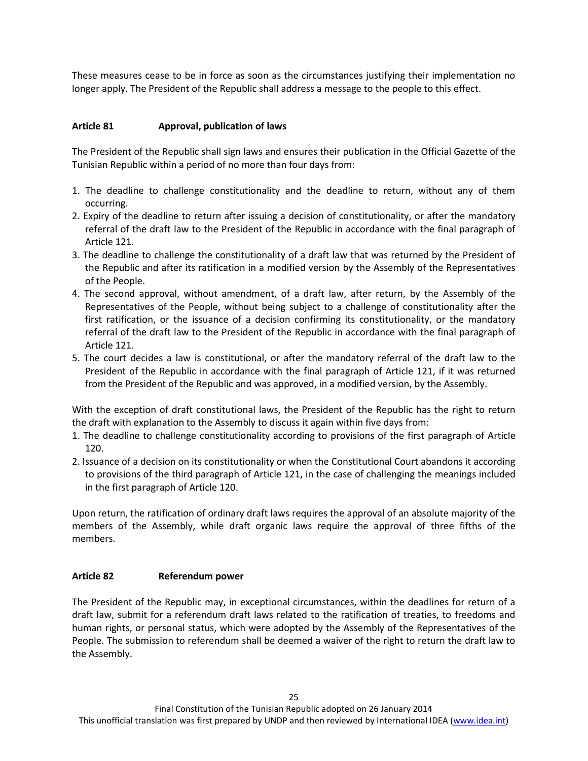These measures cease to be in force as soon as the circumstances justifying their implementation no longer apply. The President of the Republic shall address a message to the people to this effect.

# <span id="page-24-0"></span>**Article 81 Approval, publication of laws**

The President of the Republic shall sign laws and ensures their publication in the Official Gazette of the Tunisian Republic within a period of no more than four days from:

- 1. The deadline to challenge constitutionality and the deadline to return, without any of them occurring.
- 2. Expiry of the deadline to return after issuing a decision of constitutionality, or after the mandatory referral of the draft law to the President of the Republic in accordance with the final paragraph of Article 121.
- 3. The deadline to challenge the constitutionality of a draft law that was returned by the President of the Republic and after its ratification in a modified version by the Assembly of the Representatives of the People.
- 4. The second approval, without amendment, of a draft law, after return, by the Assembly of the Representatives of the People, without being subject to a challenge of constitutionality after the first ratification, or the issuance of a decision confirming its constitutionality, or the mandatory referral of the draft law to the President of the Republic in accordance with the final paragraph of Article 121.
- 5. The court decides a law is constitutional, or after the mandatory referral of the draft law to the President of the Republic in accordance with the final paragraph of Article 121, if it was returned from the President of the Republic and was approved, in a modified version, by the Assembly.

With the exception of draft constitutional laws, the President of the Republic has the right to return the draft with explanation to the Assembly to discuss it again within five days from:

- 1. The deadline to challenge constitutionality according to provisions of the first paragraph of Article 120.
- 2. Issuance of a decision on its constitutionality or when the Constitutional Court abandons it according to provisions of the third paragraph of Article 121, in the case of challenging the meanings included in the first paragraph of Article 120.

Upon return, the ratification of ordinary draft laws requires the approval of an absolute majority of the members of the Assembly, while draft organic laws require the approval of three fifths of the members.

## <span id="page-24-1"></span>**Article 82 Referendum power**

The President of the Republic may, in exceptional circumstances, within the deadlines for return of a draft law, submit for a referendum draft laws related to the ratification of treaties, to freedoms and human rights, or personal status, which were adopted by the Assembly of the Representatives of the People. The submission to referendum shall be deemed a waiver of the right to return the draft law to the Assembly.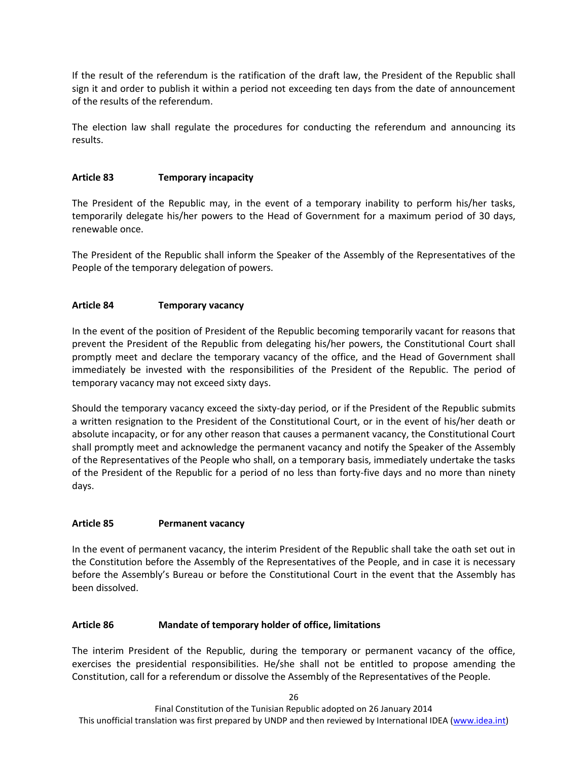If the result of the referendum is the ratification of the draft law, the President of the Republic shall sign it and order to publish it within a period not exceeding ten days from the date of announcement of the results of the referendum.

The election law shall regulate the procedures for conducting the referendum and announcing its results.

# <span id="page-25-0"></span>**Article 83 Temporary incapacity**

The President of the Republic may, in the event of a temporary inability to perform his/her tasks, temporarily delegate his/her powers to the Head of Government for a maximum period of 30 days, renewable once.

The President of the Republic shall inform the Speaker of the Assembly of the Representatives of the People of the temporary delegation of powers.

# <span id="page-25-1"></span>**Article 84 Temporary vacancy**

In the event of the position of President of the Republic becoming temporarily vacant for reasons that prevent the President of the Republic from delegating his/her powers, the Constitutional Court shall promptly meet and declare the temporary vacancy of the office, and the Head of Government shall immediately be invested with the responsibilities of the President of the Republic. The period of temporary vacancy may not exceed sixty days.

Should the temporary vacancy exceed the sixty-day period, or if the President of the Republic submits a written resignation to the President of the Constitutional Court, or in the event of his/her death or absolute incapacity, or for any other reason that causes a permanent vacancy, the Constitutional Court shall promptly meet and acknowledge the permanent vacancy and notify the Speaker of the Assembly of the Representatives of the People who shall, on a temporary basis, immediately undertake the tasks of the President of the Republic for a period of no less than forty-five days and no more than ninety days.

## <span id="page-25-2"></span>**Article 85 Permanent vacancy**

In the event of permanent vacancy, the interim President of the Republic shall take the oath set out in the Constitution before the Assembly of the Representatives of the People, and in case it is necessary before the Assembly's Bureau or before the Constitutional Court in the event that the Assembly has been dissolved.

## <span id="page-25-3"></span>**Article 86 Mandate of temporary holder of office, limitations**

The interim President of the Republic, during the temporary or permanent vacancy of the office, exercises the presidential responsibilities. He/she shall not be entitled to propose amending the Constitution, call for a referendum or dissolve the Assembly of the Representatives of the People.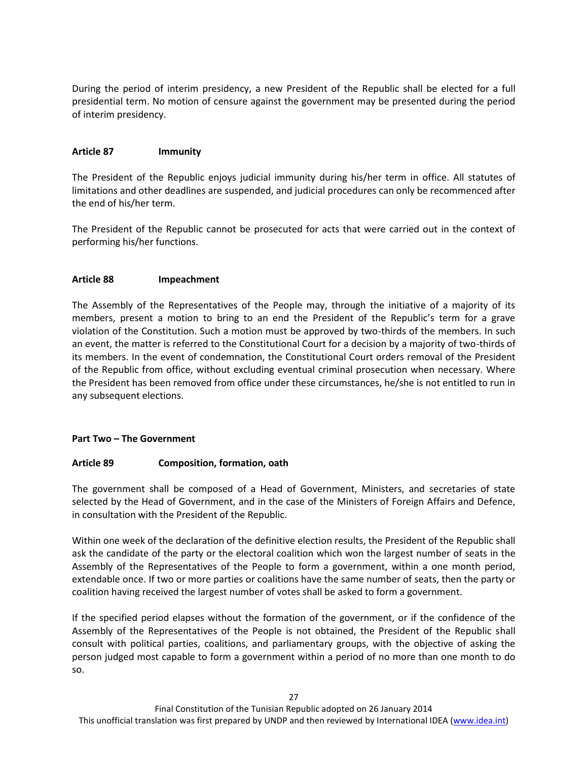During the period of interim presidency, a new President of the Republic shall be elected for a full presidential term. No motion of censure against the government may be presented during the period of interim presidency.

# <span id="page-26-0"></span>**Article 87 Immunity**

The President of the Republic enjoys judicial immunity during his/her term in office. All statutes of limitations and other deadlines are suspended, and judicial procedures can only be recommenced after the end of his/her term.

The President of the Republic cannot be prosecuted for acts that were carried out in the context of performing his/her functions.

## <span id="page-26-1"></span>**Article 88 Impeachment**

The Assembly of the Representatives of the People may, through the initiative of a majority of its members, present a motion to bring to an end the President of the Republic's term for a grave violation of the Constitution. Such a motion must be approved by two-thirds of the members. In such an event, the matter is referred to the Constitutional Court for a decision by a majority of two-thirds of its members. In the event of condemnation, the Constitutional Court orders removal of the President of the Republic from office, without excluding eventual criminal prosecution when necessary. Where the President has been removed from office under these circumstances, he/she is not entitled to run in any subsequent elections.

# <span id="page-26-2"></span>**Part Two – The Government**

## <span id="page-26-3"></span>**Article 89 Composition, formation, oath**

The government shall be composed of a Head of Government, Ministers, and secretaries of state selected by the Head of Government, and in the case of the Ministers of Foreign Affairs and Defence, in consultation with the President of the Republic.

Within one week of the declaration of the definitive election results, the President of the Republic shall ask the candidate of the party or the electoral coalition which won the largest number of seats in the Assembly of the Representatives of the People to form a government, within a one month period, extendable once. If two or more parties or coalitions have the same number of seats, then the party or coalition having received the largest number of votes shall be asked to form a government.

If the specified period elapses without the formation of the government, or if the confidence of the Assembly of the Representatives of the People is not obtained, the President of the Republic shall consult with political parties, coalitions, and parliamentary groups, with the objective of asking the person judged most capable to form a government within a period of no more than one month to do so.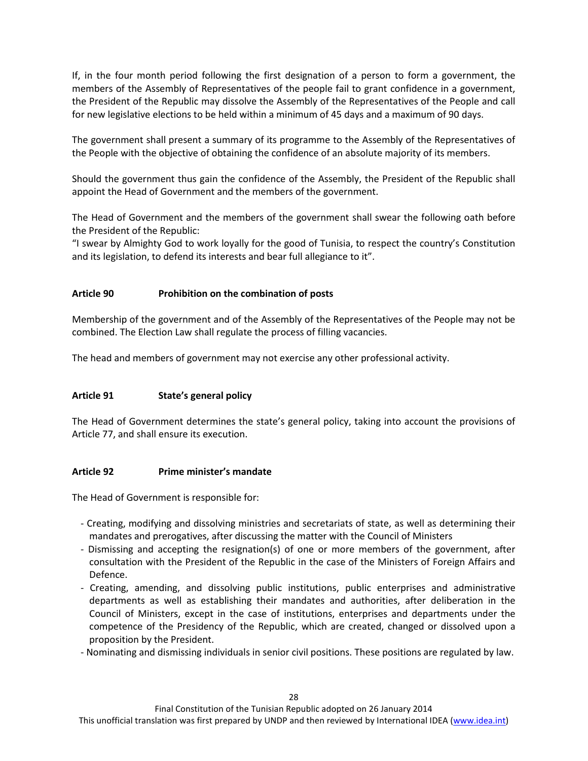If, in the four month period following the first designation of a person to form a government, the members of the Assembly of Representatives of the people fail to grant confidence in a government, the President of the Republic may dissolve the Assembly of the Representatives of the People and call for new legislative elections to be held within a minimum of 45 days and a maximum of 90 days.

The government shall present a summary of its programme to the Assembly of the Representatives of the People with the objective of obtaining the confidence of an absolute majority of its members.

Should the government thus gain the confidence of the Assembly, the President of the Republic shall appoint the Head of Government and the members of the government.

The Head of Government and the members of the government shall swear the following oath before the President of the Republic:

"I swear by Almighty God to work loyally for the good of Tunisia, to respect the country's Constitution and its legislation, to defend its interests and bear full allegiance to it".

# <span id="page-27-0"></span>**Article 90 Prohibition on the combination of posts**

Membership of the government and of the Assembly of the Representatives of the People may not be combined. The Election Law shall regulate the process of filling vacancies.

The head and members of government may not exercise any other professional activity.

## <span id="page-27-1"></span>**Article 91 State's general policy**

The Head of Government determines the state's general policy, taking into account the provisions of Article 77, and shall ensure its execution.

## <span id="page-27-2"></span>**Article 92 Prime minister's mandate**

The Head of Government is responsible for:

- Creating, modifying and dissolving ministries and secretariats of state, as well as determining their mandates and prerogatives, after discussing the matter with the Council of Ministers
- Dismissing and accepting the resignation(s) of one or more members of the government, after consultation with the President of the Republic in the case of the Ministers of Foreign Affairs and Defence.
- Creating, amending, and dissolving public institutions, public enterprises and administrative departments as well as establishing their mandates and authorities, after deliberation in the Council of Ministers, except in the case of institutions, enterprises and departments under the competence of the Presidency of the Republic, which are created, changed or dissolved upon a proposition by the President.
- Nominating and dismissing individuals in senior civil positions. These positions are regulated by law.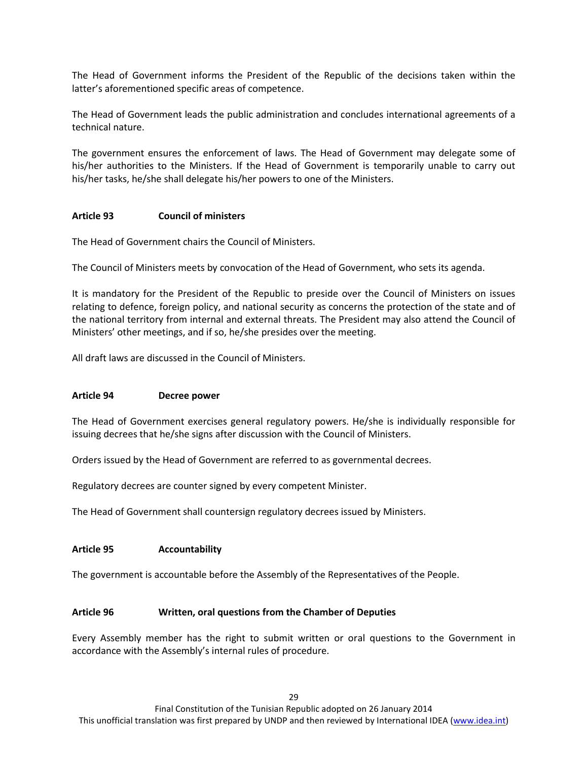The Head of Government informs the President of the Republic of the decisions taken within the latter's aforementioned specific areas of competence.

The Head of Government leads the public administration and concludes international agreements of a technical nature.

The government ensures the enforcement of laws. The Head of Government may delegate some of his/her authorities to the Ministers. If the Head of Government is temporarily unable to carry out his/her tasks, he/she shall delegate his/her powers to one of the Ministers.

# <span id="page-28-0"></span>**Article 93 Council of ministers**

The Head of Government chairs the Council of Ministers.

The Council of Ministers meets by convocation of the Head of Government, who sets its agenda.

It is mandatory for the President of the Republic to preside over the Council of Ministers on issues relating to defence, foreign policy, and national security as concerns the protection of the state and of the national territory from internal and external threats. The President may also attend the Council of Ministers' other meetings, and if so, he/she presides over the meeting.

All draft laws are discussed in the Council of Ministers.

## <span id="page-28-1"></span>**Article 94 Decree power**

The Head of Government exercises general regulatory powers. He/she is individually responsible for issuing decrees that he/she signs after discussion with the Council of Ministers.

Orders issued by the Head of Government are referred to as governmental decrees.

Regulatory decrees are counter signed by every competent Minister.

The Head of Government shall countersign regulatory decrees issued by Ministers.

## <span id="page-28-2"></span>**Article 95 Accountability**

The government is accountable before the Assembly of the Representatives of the People.

### <span id="page-28-3"></span>**Article 96 Written, oral questions from the Chamber of Deputies**

Every Assembly member has the right to submit written or oral questions to the Government in accordance with the Assembly's internal rules of procedure.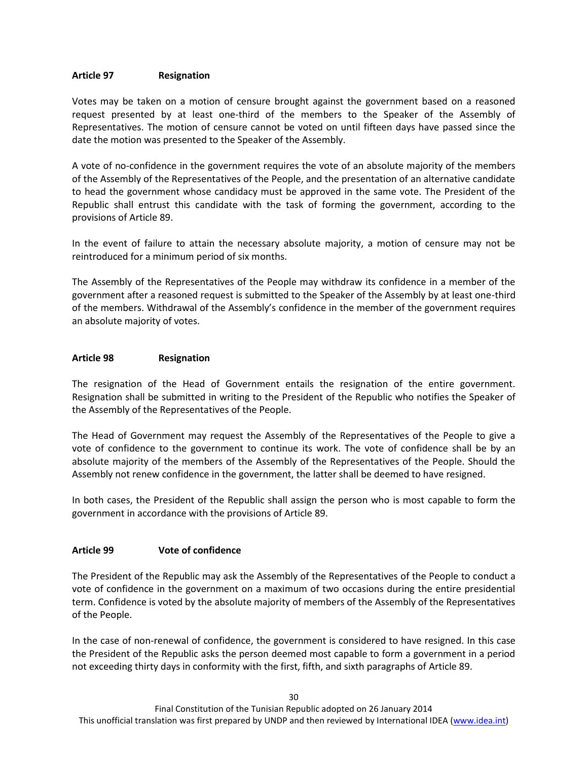### <span id="page-29-0"></span>**Article 97 Resignation**

Votes may be taken on a motion of censure brought against the government based on a reasoned request presented by at least one-third of the members to the Speaker of the Assembly of Representatives. The motion of censure cannot be voted on until fifteen days have passed since the date the motion was presented to the Speaker of the Assembly.

A vote of no-confidence in the government requires the vote of an absolute majority of the members of the Assembly of the Representatives of the People, and the presentation of an alternative candidate to head the government whose candidacy must be approved in the same vote. The President of the Republic shall entrust this candidate with the task of forming the government, according to the provisions of Article 89.

In the event of failure to attain the necessary absolute majority, a motion of censure may not be reintroduced for a minimum period of six months.

The Assembly of the Representatives of the People may withdraw its confidence in a member of the government after a reasoned request is submitted to the Speaker of the Assembly by at least one-third of the members. Withdrawal of the Assembly's confidence in the member of the government requires an absolute majority of votes.

## <span id="page-29-1"></span>**Article 98 Resignation**

The resignation of the Head of Government entails the resignation of the entire government. Resignation shall be submitted in writing to the President of the Republic who notifies the Speaker of the Assembly of the Representatives of the People.

The Head of Government may request the Assembly of the Representatives of the People to give a vote of confidence to the government to continue its work. The vote of confidence shall be by an absolute majority of the members of the Assembly of the Representatives of the People. Should the Assembly not renew confidence in the government, the latter shall be deemed to have resigned.

In both cases, the President of the Republic shall assign the person who is most capable to form the government in accordance with the provisions of Article 89.

## <span id="page-29-2"></span>**Article 99 Vote of confidence**

The President of the Republic may ask the Assembly of the Representatives of the People to conduct a vote of confidence in the government on a maximum of two occasions during the entire presidential term. Confidence is voted by the absolute majority of members of the Assembly of the Representatives of the People.

In the case of non-renewal of confidence, the government is considered to have resigned. In this case the President of the Republic asks the person deemed most capable to form a government in a period not exceeding thirty days in conformity with the first, fifth, and sixth paragraphs of Article 89.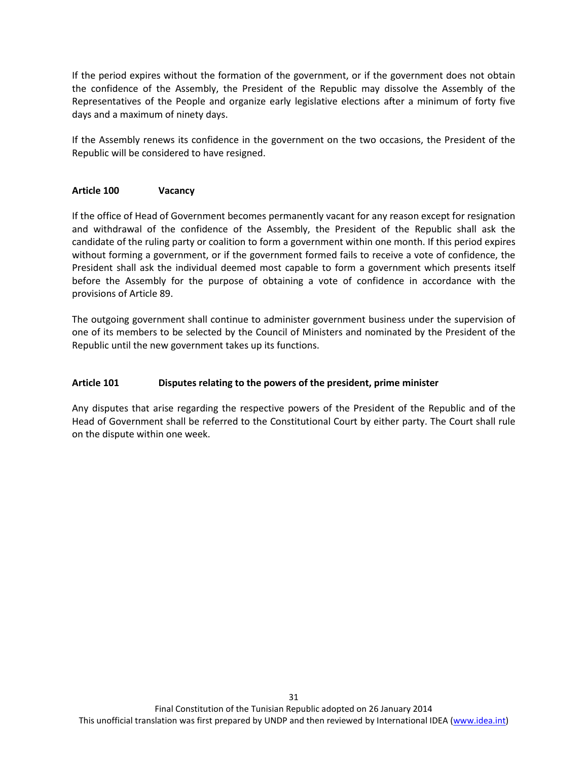If the period expires without the formation of the government, or if the government does not obtain the confidence of the Assembly, the President of the Republic may dissolve the Assembly of the Representatives of the People and organize early legislative elections after a minimum of forty five days and a maximum of ninety days.

If the Assembly renews its confidence in the government on the two occasions, the President of the Republic will be considered to have resigned.

### <span id="page-30-0"></span>**Article 100 Vacancy**

If the office of Head of Government becomes permanently vacant for any reason except for resignation and withdrawal of the confidence of the Assembly, the President of the Republic shall ask the candidate of the ruling party or coalition to form a government within one month. If this period expires without forming a government, or if the government formed fails to receive a vote of confidence, the President shall ask the individual deemed most capable to form a government which presents itself before the Assembly for the purpose of obtaining a vote of confidence in accordance with the provisions of Article 89.

The outgoing government shall continue to administer government business under the supervision of one of its members to be selected by the Council of Ministers and nominated by the President of the Republic until the new government takes up its functions.

## <span id="page-30-1"></span>**Article 101 Disputes relating to the powers of the president, prime minister**

Any disputes that arise regarding the respective powers of the President of the Republic and of the Head of Government shall be referred to the Constitutional Court by either party. The Court shall rule on the dispute within one week.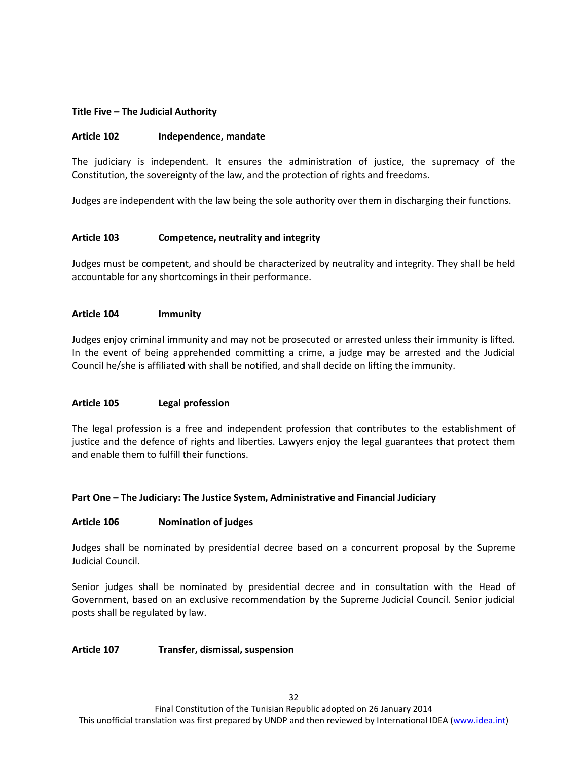## <span id="page-31-0"></span>**Title Five – The Judicial Authority**

## <span id="page-31-1"></span>**Article 102 Independence, mandate**

The judiciary is independent. It ensures the administration of justice, the supremacy of the Constitution, the sovereignty of the law, and the protection of rights and freedoms.

Judges are independent with the law being the sole authority over them in discharging their functions.

## <span id="page-31-2"></span>**Article 103 Competence, neutrality and integrity**

Judges must be competent, and should be characterized by neutrality and integrity. They shall be held accountable for any shortcomings in their performance.

### <span id="page-31-3"></span>**Article 104 Immunity**

Judges enjoy criminal immunity and may not be prosecuted or arrested unless their immunity is lifted. In the event of being apprehended committing a crime, a judge may be arrested and the Judicial Council he/she is affiliated with shall be notified, and shall decide on lifting the immunity.

### <span id="page-31-4"></span>**Article 105 Legal profession**

The legal profession is a free and independent profession that contributes to the establishment of justice and the defence of rights and liberties. Lawyers enjoy the legal guarantees that protect them and enable them to fulfill their functions.

## <span id="page-31-5"></span>**Part One – The Judiciary: The Justice System, Administrative and Financial Judiciary**

### <span id="page-31-6"></span>**Article 106 Nomination of judges**

Judges shall be nominated by presidential decree based on a concurrent proposal by the Supreme Judicial Council.

Senior judges shall be nominated by presidential decree and in consultation with the Head of Government, based on an exclusive recommendation by the Supreme Judicial Council. Senior judicial posts shall be regulated by law.

### <span id="page-31-7"></span>**Article 107 Transfer, dismissal, suspension**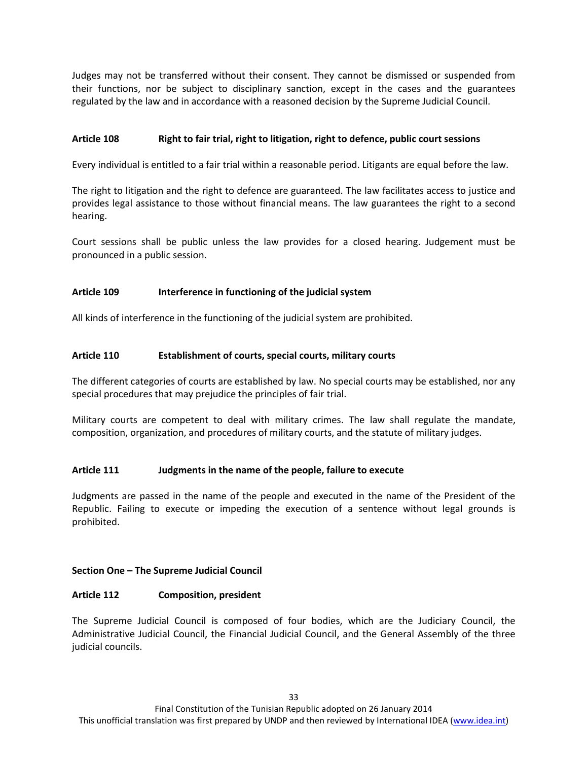Judges may not be transferred without their consent. They cannot be dismissed or suspended from their functions, nor be subject to disciplinary sanction, except in the cases and the guarantees regulated by the law and in accordance with a reasoned decision by the Supreme Judicial Council.

## <span id="page-32-0"></span>**Article 108 Right to fair trial, right to litigation, right to defence, public court sessions**

Every individual is entitled to a fair trial within a reasonable period. Litigants are equal before the law.

The right to litigation and the right to defence are guaranteed. The law facilitates access to justice and provides legal assistance to those without financial means. The law guarantees the right to a second hearing.

Court sessions shall be public unless the law provides for a closed hearing. Judgement must be pronounced in a public session.

## <span id="page-32-1"></span>**Article 109 Interference in functioning of the judicial system**

All kinds of interference in the functioning of the judicial system are prohibited.

## <span id="page-32-2"></span>**Article 110 Establishment of courts, special courts, military courts**

The different categories of courts are established by law. No special courts may be established, nor any special procedures that may prejudice the principles of fair trial.

Military courts are competent to deal with military crimes. The law shall regulate the mandate, composition, organization, and procedures of military courts, and the statute of military judges.

## <span id="page-32-3"></span>**Article 111 Judgments in the name of the people, failure to execute**

Judgments are passed in the name of the people and executed in the name of the President of the Republic. Failing to execute or impeding the execution of a sentence without legal grounds is prohibited.

## <span id="page-32-4"></span>**Section One – The Supreme Judicial Council**

## <span id="page-32-5"></span>**Article 112 Composition, president**

The Supreme Judicial Council is composed of four bodies, which are the Judiciary Council, the Administrative Judicial Council, the Financial Judicial Council, and the General Assembly of the three judicial councils.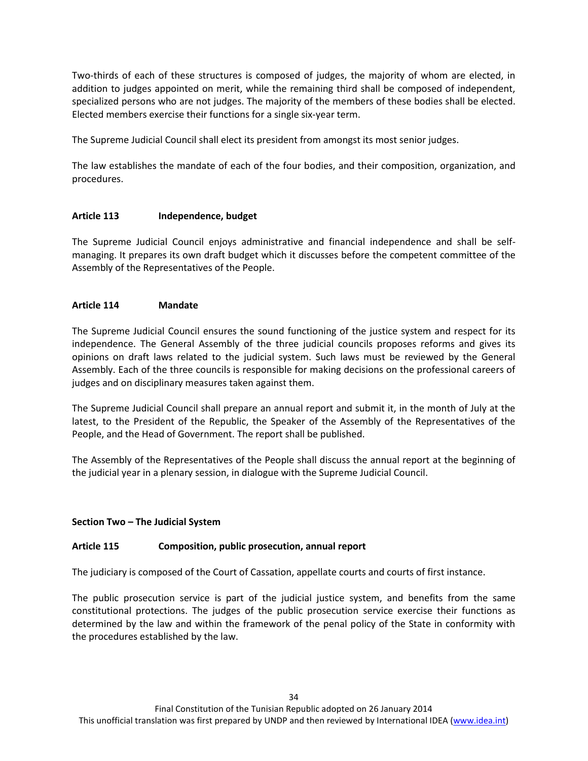Two-thirds of each of these structures is composed of judges, the majority of whom are elected, in addition to judges appointed on merit, while the remaining third shall be composed of independent, specialized persons who are not judges. The majority of the members of these bodies shall be elected. Elected members exercise their functions for a single six-year term.

The Supreme Judicial Council shall elect its president from amongst its most senior judges.

The law establishes the mandate of each of the four bodies, and their composition, organization, and procedures.

# <span id="page-33-0"></span>**Article 113 Independence, budget**

The Supreme Judicial Council enjoys administrative and financial independence and shall be selfmanaging. It prepares its own draft budget which it discusses before the competent committee of the Assembly of the Representatives of the People.

# <span id="page-33-1"></span>**Article 114 Mandate**

The Supreme Judicial Council ensures the sound functioning of the justice system and respect for its independence. The General Assembly of the three judicial councils proposes reforms and gives its opinions on draft laws related to the judicial system. Such laws must be reviewed by the General Assembly. Each of the three councils is responsible for making decisions on the professional careers of judges and on disciplinary measures taken against them.

The Supreme Judicial Council shall prepare an annual report and submit it, in the month of July at the latest, to the President of the Republic, the Speaker of the Assembly of the Representatives of the People, and the Head of Government. The report shall be published.

The Assembly of the Representatives of the People shall discuss the annual report at the beginning of the judicial year in a plenary session, in dialogue with the Supreme Judicial Council.

## <span id="page-33-2"></span>**Section Two – The Judicial System**

## <span id="page-33-3"></span>**Article 115 Composition, public prosecution, annual report**

The judiciary is composed of the Court of Cassation, appellate courts and courts of first instance.

The public prosecution service is part of the judicial justice system, and benefits from the same constitutional protections. The judges of the public prosecution service exercise their functions as determined by the law and within the framework of the penal policy of the State in conformity with the procedures established by the law.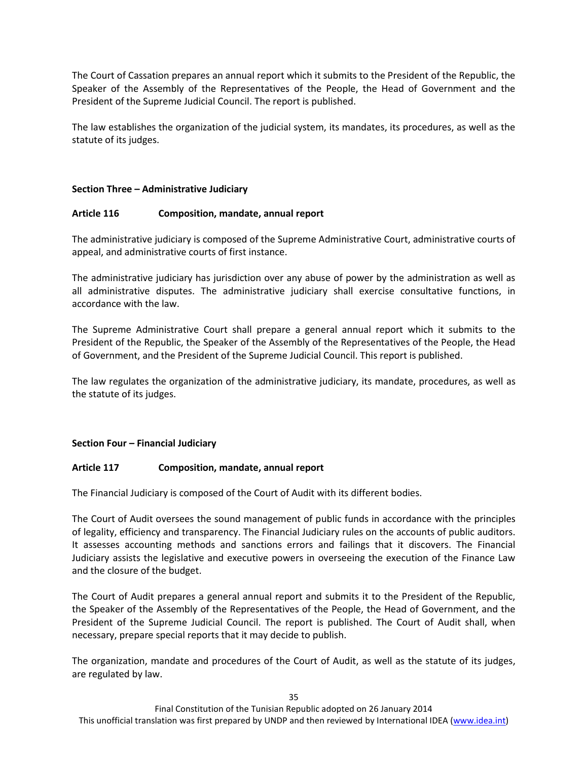The Court of Cassation prepares an annual report which it submits to the President of the Republic, the Speaker of the Assembly of the Representatives of the People, the Head of Government and the President of the Supreme Judicial Council. The report is published.

The law establishes the organization of the judicial system, its mandates, its procedures, as well as the statute of its judges.

# <span id="page-34-0"></span>**Section Three – Administrative Judiciary**

# <span id="page-34-1"></span>**Article 116 Composition, mandate, annual report**

The administrative judiciary is composed of the Supreme Administrative Court, administrative courts of appeal, and administrative courts of first instance.

The administrative judiciary has jurisdiction over any abuse of power by the administration as well as all administrative disputes. The administrative judiciary shall exercise consultative functions, in accordance with the law.

The Supreme Administrative Court shall prepare a general annual report which it submits to the President of the Republic, the Speaker of the Assembly of the Representatives of the People, the Head of Government, and the President of the Supreme Judicial Council. This report is published.

The law regulates the organization of the administrative judiciary, its mandate, procedures, as well as the statute of its judges.

## <span id="page-34-2"></span>**Section Four – Financial Judiciary**

## <span id="page-34-3"></span>**Article 117 Composition, mandate, annual report**

The Financial Judiciary is composed of the Court of Audit with its different bodies.

The Court of Audit oversees the sound management of public funds in accordance with the principles of legality, efficiency and transparency. The Financial Judiciary rules on the accounts of public auditors. It assesses accounting methods and sanctions errors and failings that it discovers. The Financial Judiciary assists the legislative and executive powers in overseeing the execution of the Finance Law and the closure of the budget.

The Court of Audit prepares a general annual report and submits it to the President of the Republic, the Speaker of the Assembly of the Representatives of the People, the Head of Government, and the President of the Supreme Judicial Council. The report is published. The Court of Audit shall, when necessary, prepare special reports that it may decide to publish.

The organization, mandate and procedures of the Court of Audit, as well as the statute of its judges, are regulated by law.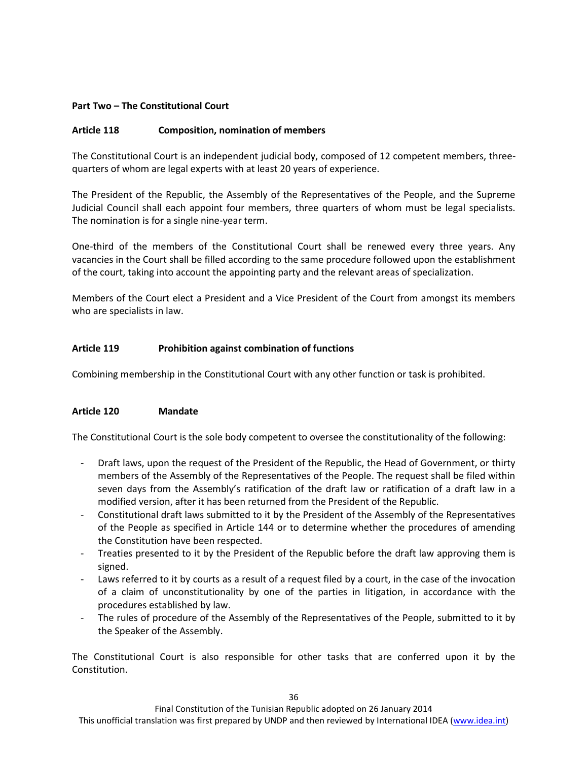# <span id="page-35-0"></span>**Part Two – The Constitutional Court**

# <span id="page-35-1"></span>**Article 118 Composition, nomination of members**

The Constitutional Court is an independent judicial body, composed of 12 competent members, threequarters of whom are legal experts with at least 20 years of experience.

The President of the Republic, the Assembly of the Representatives of the People, and the Supreme Judicial Council shall each appoint four members, three quarters of whom must be legal specialists. The nomination is for a single nine-year term.

One-third of the members of the Constitutional Court shall be renewed every three years. Any vacancies in the Court shall be filled according to the same procedure followed upon the establishment of the court, taking into account the appointing party and the relevant areas of specialization.

Members of the Court elect a President and a Vice President of the Court from amongst its members who are specialists in law.

# <span id="page-35-2"></span>**Article 119 Prohibition against combination of functions**

Combining membership in the Constitutional Court with any other function or task is prohibited.

## <span id="page-35-3"></span>**Article 120 Mandate**

The Constitutional Court is the sole body competent to oversee the constitutionality of the following:

- Draft laws, upon the request of the President of the Republic, the Head of Government, or thirty members of the Assembly of the Representatives of the People. The request shall be filed within seven days from the Assembly's ratification of the draft law or ratification of a draft law in a modified version, after it has been returned from the President of the Republic.
- Constitutional draft laws submitted to it by the President of the Assembly of the Representatives of the People as specified in Article 144 or to determine whether the procedures of amending the Constitution have been respected.
- Treaties presented to it by the President of the Republic before the draft law approving them is signed.
- Laws referred to it by courts as a result of a request filed by a court, in the case of the invocation of a claim of unconstitutionality by one of the parties in litigation, in accordance with the procedures established by law.
- The rules of procedure of the Assembly of the Representatives of the People, submitted to it by the Speaker of the Assembly.

The Constitutional Court is also responsible for other tasks that are conferred upon it by the Constitution.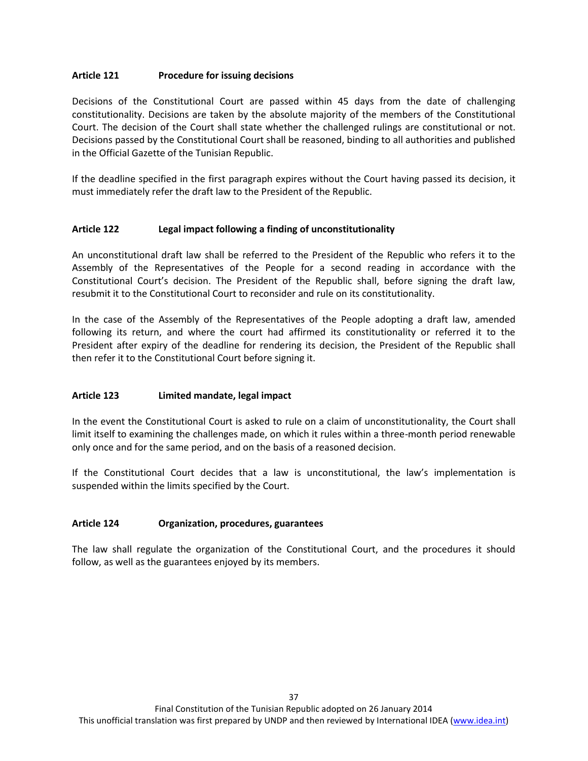## <span id="page-36-0"></span>**Article 121 Procedure for issuing decisions**

Decisions of the Constitutional Court are passed within 45 days from the date of challenging constitutionality. Decisions are taken by the absolute majority of the members of the Constitutional Court. The decision of the Court shall state whether the challenged rulings are constitutional or not. Decisions passed by the Constitutional Court shall be reasoned, binding to all authorities and published in the Official Gazette of the Tunisian Republic.

If the deadline specified in the first paragraph expires without the Court having passed its decision, it must immediately refer the draft law to the President of the Republic.

## <span id="page-36-1"></span>**Article 122 Legal impact following a finding of unconstitutionality**

An unconstitutional draft law shall be referred to the President of the Republic who refers it to the Assembly of the Representatives of the People for a second reading in accordance with the Constitutional Court's decision. The President of the Republic shall, before signing the draft law, resubmit it to the Constitutional Court to reconsider and rule on its constitutionality.

In the case of the Assembly of the Representatives of the People adopting a draft law, amended following its return, and where the court had affirmed its constitutionality or referred it to the President after expiry of the deadline for rendering its decision, the President of the Republic shall then refer it to the Constitutional Court before signing it.

## <span id="page-36-2"></span>**Article 123 Limited mandate, legal impact**

In the event the Constitutional Court is asked to rule on a claim of unconstitutionality, the Court shall limit itself to examining the challenges made, on which it rules within a three-month period renewable only once and for the same period, and on the basis of a reasoned decision.

If the Constitutional Court decides that a law is unconstitutional, the law's implementation is suspended within the limits specified by the Court.

## <span id="page-36-3"></span>**Article 124 Organization, procedures, guarantees**

The law shall regulate the organization of the Constitutional Court, and the procedures it should follow, as well as the guarantees enjoyed by its members.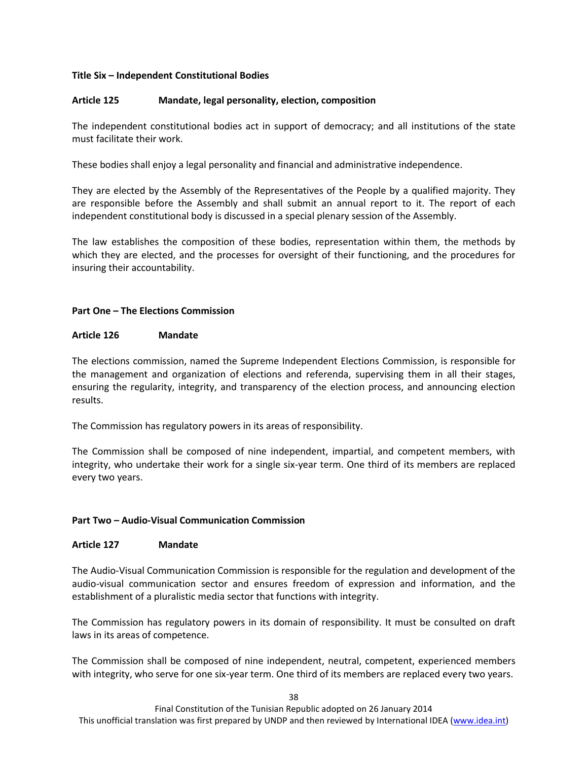## <span id="page-37-0"></span>**Title Six – Independent Constitutional Bodies**

## <span id="page-37-1"></span>**Article 125 Mandate, legal personality, election, composition**

The independent constitutional bodies act in support of democracy; and all institutions of the state must facilitate their work.

These bodies shall enjoy a legal personality and financial and administrative independence.

They are elected by the Assembly of the Representatives of the People by a qualified majority. They are responsible before the Assembly and shall submit an annual report to it. The report of each independent constitutional body is discussed in a special plenary session of the Assembly.

The law establishes the composition of these bodies, representation within them, the methods by which they are elected, and the processes for oversight of their functioning, and the procedures for insuring their accountability.

### <span id="page-37-2"></span>**Part One – The Elections Commission**

### <span id="page-37-3"></span>**Article 126 Mandate**

The elections commission, named the Supreme Independent Elections Commission, is responsible for the management and organization of elections and referenda, supervising them in all their stages, ensuring the regularity, integrity, and transparency of the election process, and announcing election results.

The Commission has regulatory powers in its areas of responsibility.

The Commission shall be composed of nine independent, impartial, and competent members, with integrity, who undertake their work for a single six-year term. One third of its members are replaced every two years.

## <span id="page-37-4"></span>**Part Two – Audio-Visual Communication Commission**

### <span id="page-37-5"></span>**Article 127 Mandate**

The Audio-Visual Communication Commission is responsible for the regulation and development of the audio-visual communication sector and ensures freedom of expression and information, and the establishment of a pluralistic media sector that functions with integrity.

The Commission has regulatory powers in its domain of responsibility. It must be consulted on draft laws in its areas of competence.

The Commission shall be composed of nine independent, neutral, competent, experienced members with integrity, who serve for one six-year term. One third of its members are replaced every two years.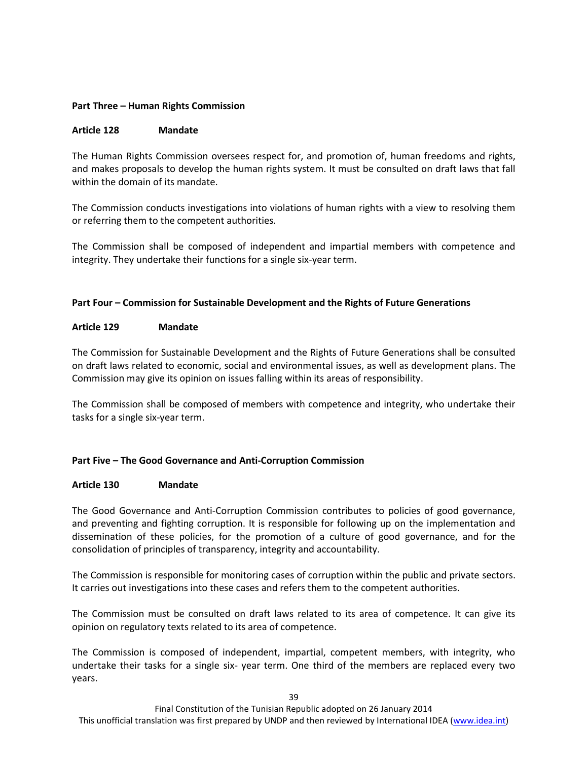# <span id="page-38-0"></span>**Part Three – Human Rights Commission**

### <span id="page-38-1"></span>**Article 128 Mandate**

The Human Rights Commission oversees respect for, and promotion of, human freedoms and rights, and makes proposals to develop the human rights system. It must be consulted on draft laws that fall within the domain of its mandate.

The Commission conducts investigations into violations of human rights with a view to resolving them or referring them to the competent authorities.

The Commission shall be composed of independent and impartial members with competence and integrity. They undertake their functions for a single six-year term.

## <span id="page-38-2"></span>**Part Four – Commission for Sustainable Development and the Rights of Future Generations**

### <span id="page-38-3"></span>**Article 129 Mandate**

The Commission for Sustainable Development and the Rights of Future Generations shall be consulted on draft laws related to economic, social and environmental issues, as well as development plans. The Commission may give its opinion on issues falling within its areas of responsibility.

The Commission shall be composed of members with competence and integrity, who undertake their tasks for a single six-year term.

## <span id="page-38-4"></span>**Part Five – The Good Governance and Anti-Corruption Commission**

### <span id="page-38-5"></span>**Article 130 Mandate**

The Good Governance and Anti-Corruption Commission contributes to policies of good governance, and preventing and fighting corruption. It is responsible for following up on the implementation and dissemination of these policies, for the promotion of a culture of good governance, and for the consolidation of principles of transparency, integrity and accountability.

The Commission is responsible for monitoring cases of corruption within the public and private sectors. It carries out investigations into these cases and refers them to the competent authorities.

The Commission must be consulted on draft laws related to its area of competence. It can give its opinion on regulatory texts related to its area of competence.

The Commission is composed of independent, impartial, competent members, with integrity, who undertake their tasks for a single six- year term. One third of the members are replaced every two years.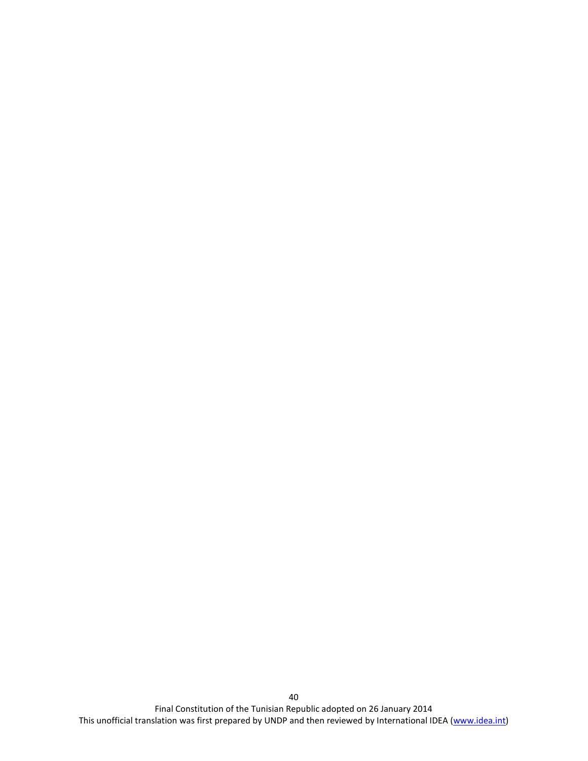Final Constitution of the Tunisian Republic adopted on 26 January 2014 This unofficial translation was first prepared by UNDP and then reviewed by International IDEA (www.idea.int)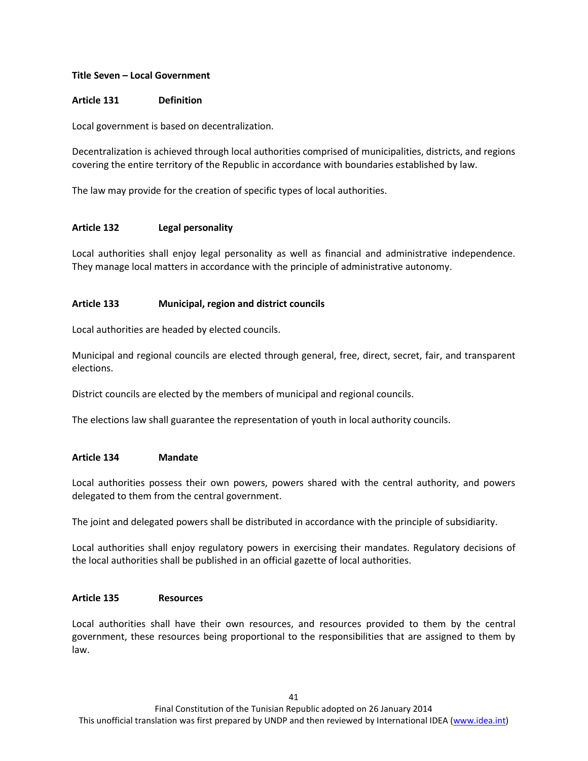## <span id="page-40-0"></span>**Title Seven – Local Government**

### <span id="page-40-1"></span>**Article 131 Definition**

Local government is based on decentralization.

Decentralization is achieved through local authorities comprised of municipalities, districts, and regions covering the entire territory of the Republic in accordance with boundaries established by law.

The law may provide for the creation of specific types of local authorities.

### <span id="page-40-2"></span>**Article 132 Legal personality**

Local authorities shall enjoy legal personality as well as financial and administrative independence. They manage local matters in accordance with the principle of administrative autonomy.

### <span id="page-40-3"></span>**Article 133 Municipal, region and district councils**

Local authorities are headed by elected councils.

Municipal and regional councils are elected through general, free, direct, secret, fair, and transparent elections.

District councils are elected by the members of municipal and regional councils.

The elections law shall guarantee the representation of youth in local authority councils.

### <span id="page-40-4"></span>**Article 134 Mandate**

Local authorities possess their own powers, powers shared with the central authority, and powers delegated to them from the central government.

The joint and delegated powers shall be distributed in accordance with the principle of subsidiarity.

Local authorities shall enjoy regulatory powers in exercising their mandates. Regulatory decisions of the local authorities shall be published in an official gazette of local authorities.

### <span id="page-40-5"></span>**Article 135 Resources**

Local authorities shall have their own resources, and resources provided to them by the central government, these resources being proportional to the responsibilities that are assigned to them by law.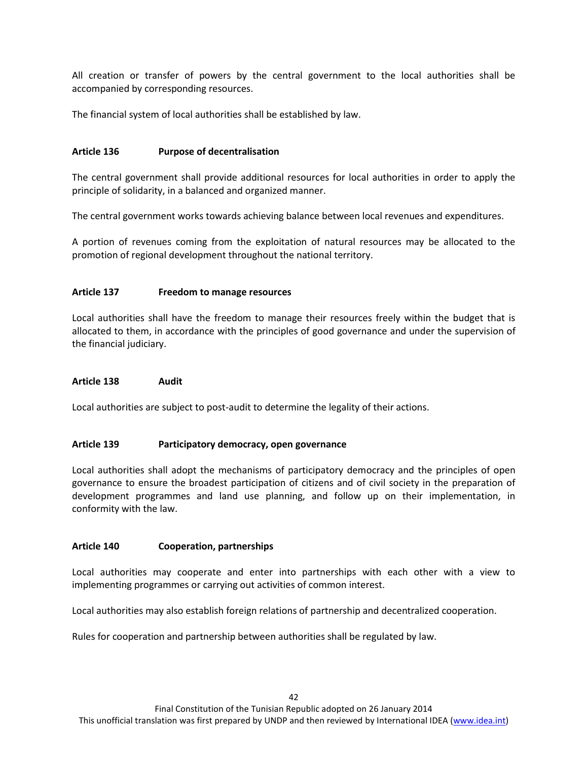All creation or transfer of powers by the central government to the local authorities shall be accompanied by corresponding resources.

The financial system of local authorities shall be established by law.

# <span id="page-41-0"></span>**Article 136 Purpose of decentralisation**

The central government shall provide additional resources for local authorities in order to apply the principle of solidarity, in a balanced and organized manner.

The central government works towards achieving balance between local revenues and expenditures.

A portion of revenues coming from the exploitation of natural resources may be allocated to the promotion of regional development throughout the national territory.

# <span id="page-41-1"></span>**Article 137 Freedom to manage resources**

Local authorities shall have the freedom to manage their resources freely within the budget that is allocated to them, in accordance with the principles of good governance and under the supervision of the financial judiciary.

## <span id="page-41-2"></span>**Article 138 Audit**

Local authorities are subject to post-audit to determine the legality of their actions.

## <span id="page-41-3"></span>**Article 139 Participatory democracy, open governance**

Local authorities shall adopt the mechanisms of participatory democracy and the principles of open governance to ensure the broadest participation of citizens and of civil society in the preparation of development programmes and land use planning, and follow up on their implementation, in conformity with the law.

## <span id="page-41-4"></span>**Article 140 Cooperation, partnerships**

Local authorities may cooperate and enter into partnerships with each other with a view to implementing programmes or carrying out activities of common interest.

Local authorities may also establish foreign relations of partnership and decentralized cooperation.

Rules for cooperation and partnership between authorities shall be regulated by law.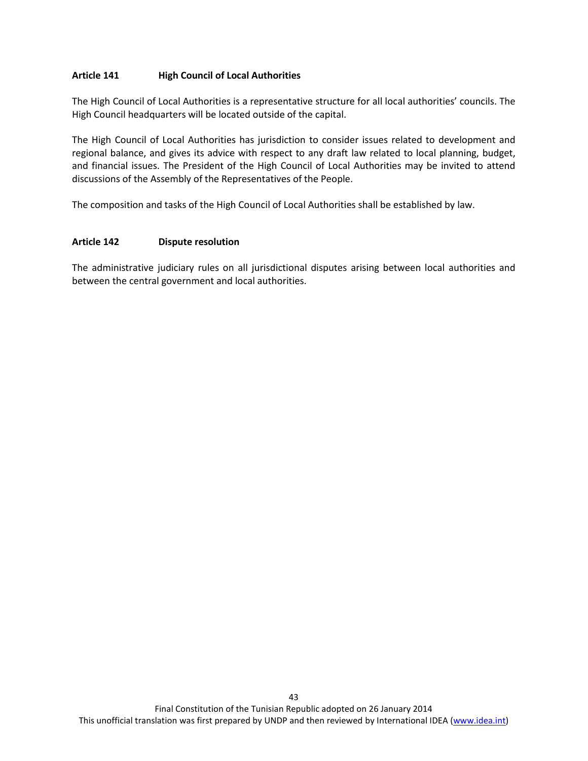## <span id="page-42-0"></span>**Article 141 High Council of Local Authorities**

The High Council of Local Authorities is a representative structure for all local authorities' councils. The High Council headquarters will be located outside of the capital.

The High Council of Local Authorities has jurisdiction to consider issues related to development and regional balance, and gives its advice with respect to any draft law related to local planning, budget, and financial issues. The President of the High Council of Local Authorities may be invited to attend discussions of the Assembly of the Representatives of the People.

The composition and tasks of the High Council of Local Authorities shall be established by law.

### <span id="page-42-1"></span>**Article 142 Dispute resolution**

The administrative judiciary rules on all jurisdictional disputes arising between local authorities and between the central government and local authorities.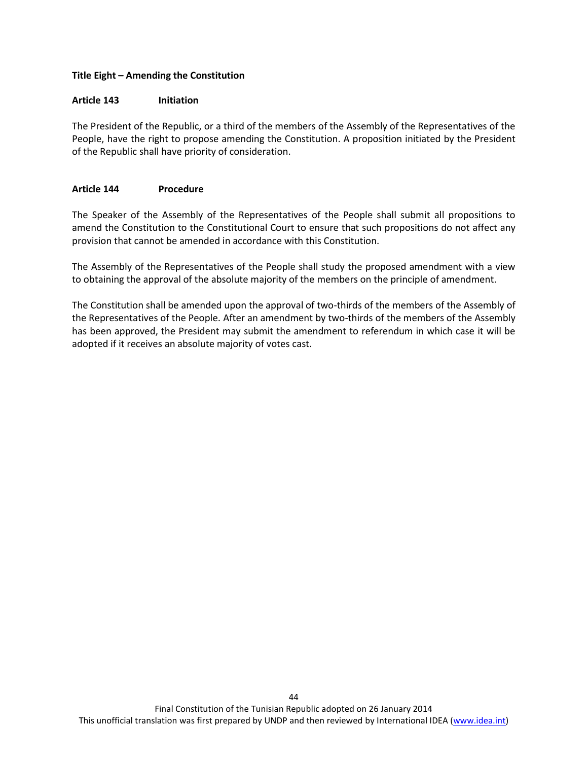## <span id="page-43-0"></span>**Title Eight – Amending the Constitution**

## <span id="page-43-1"></span>**Article 143 Initiation**

The President of the Republic, or a third of the members of the Assembly of the Representatives of the People, have the right to propose amending the Constitution. A proposition initiated by the President of the Republic shall have priority of consideration.

## <span id="page-43-2"></span>**Article 144 Procedure**

The Speaker of the Assembly of the Representatives of the People shall submit all propositions to amend the Constitution to the Constitutional Court to ensure that such propositions do not affect any provision that cannot be amended in accordance with this Constitution.

The Assembly of the Representatives of the People shall study the proposed amendment with a view to obtaining the approval of the absolute majority of the members on the principle of amendment.

The Constitution shall be amended upon the approval of two-thirds of the members of the Assembly of the Representatives of the People. After an amendment by two-thirds of the members of the Assembly has been approved, the President may submit the amendment to referendum in which case it will be adopted if it receives an absolute majority of votes cast.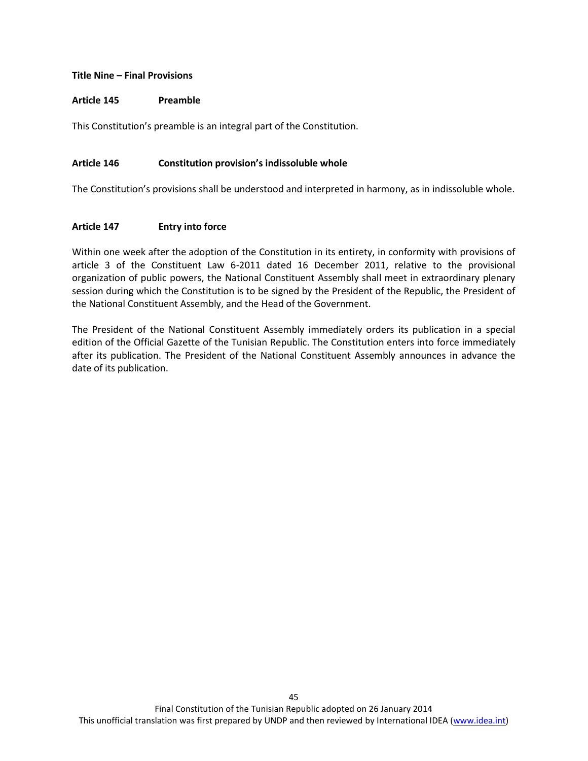### <span id="page-44-0"></span>**Title Nine – Final Provisions**

### <span id="page-44-1"></span>**Article 145 Preamble**

This Constitution's preamble is an integral part of the Constitution.

### <span id="page-44-2"></span>**Article 146 Constitution provision's indissoluble whole**

The Constitution's provisions shall be understood and interpreted in harmony, as in indissoluble whole.

### <span id="page-44-3"></span>**Article 147 Entry into force**

Within one week after the adoption of the Constitution in its entirety, in conformity with provisions of article 3 of the Constituent Law 6-2011 dated 16 December 2011, relative to the provisional organization of public powers, the National Constituent Assembly shall meet in extraordinary plenary session during which the Constitution is to be signed by the President of the Republic, the President of the National Constituent Assembly, and the Head of the Government.

The President of the National Constituent Assembly immediately orders its publication in a special edition of the Official Gazette of the Tunisian Republic. The Constitution enters into force immediately after its publication. The President of the National Constituent Assembly announces in advance the date of its publication.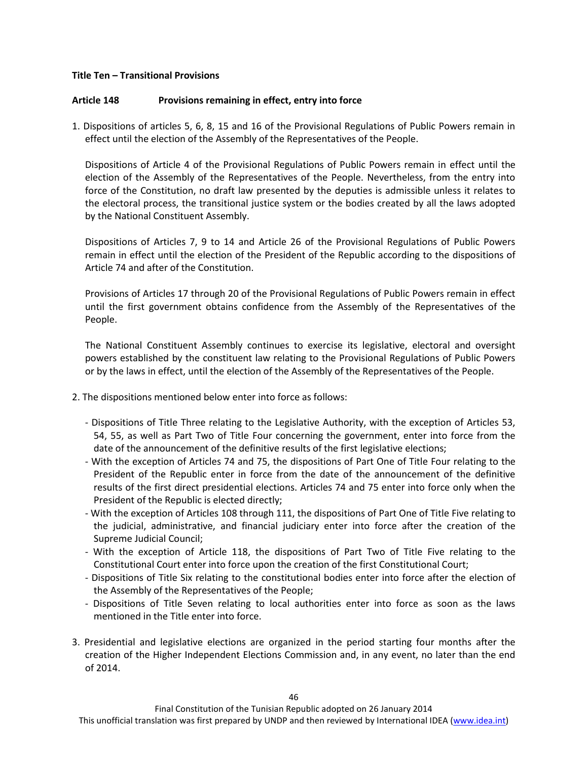### <span id="page-45-0"></span>**Title Ten – Transitional Provisions**

### <span id="page-45-1"></span>**Article 148 Provisions remaining in effect, entry into force**

1. Dispositions of articles 5, 6, 8, 15 and 16 of the Provisional Regulations of Public Powers remain in effect until the election of the Assembly of the Representatives of the People.

Dispositions of Article 4 of the Provisional Regulations of Public Powers remain in effect until the election of the Assembly of the Representatives of the People. Nevertheless, from the entry into force of the Constitution, no draft law presented by the deputies is admissible unless it relates to the electoral process, the transitional justice system or the bodies created by all the laws adopted by the National Constituent Assembly.

Dispositions of Articles 7, 9 to 14 and Article 26 of the Provisional Regulations of Public Powers remain in effect until the election of the President of the Republic according to the dispositions of Article 74 and after of the Constitution.

Provisions of Articles 17 through 20 of the Provisional Regulations of Public Powers remain in effect until the first government obtains confidence from the Assembly of the Representatives of the People.

The National Constituent Assembly continues to exercise its legislative, electoral and oversight powers established by the constituent law relating to the Provisional Regulations of Public Powers or by the laws in effect, until the election of the Assembly of the Representatives of the People.

- 2. The dispositions mentioned below enter into force as follows:
	- Dispositions of Title Three relating to the Legislative Authority, with the exception of Articles 53, 54, 55, as well as Part Two of Title Four concerning the government, enter into force from the date of the announcement of the definitive results of the first legislative elections;
	- With the exception of Articles 74 and 75, the dispositions of Part One of Title Four relating to the President of the Republic enter in force from the date of the announcement of the definitive results of the first direct presidential elections. Articles 74 and 75 enter into force only when the President of the Republic is elected directly;
	- With the exception of Articles 108 through 111, the dispositions of Part One of Title Five relating to the judicial, administrative, and financial judiciary enter into force after the creation of the Supreme Judicial Council;
	- With the exception of Article 118, the dispositions of Part Two of Title Five relating to the Constitutional Court enter into force upon the creation of the first Constitutional Court;
	- Dispositions of Title Six relating to the constitutional bodies enter into force after the election of the Assembly of the Representatives of the People;
	- Dispositions of Title Seven relating to local authorities enter into force as soon as the laws mentioned in the Title enter into force.
- 3. Presidential and legislative elections are organized in the period starting four months after the creation of the Higher Independent Elections Commission and, in any event, no later than the end of 2014.